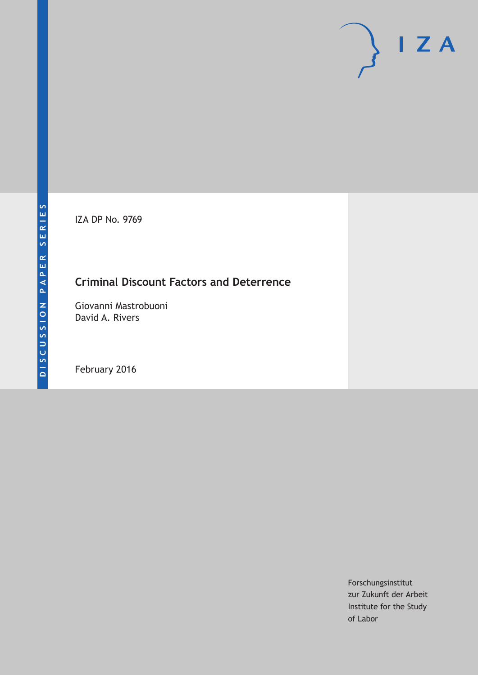IZA DP No. 9769

# **Criminal Discount Factors and Deterrence**

Giovanni Mastrobuoni David A. Rivers

February 2016

Forschungsinstitut zur Zukunft der Arbeit Institute for the Study of Labor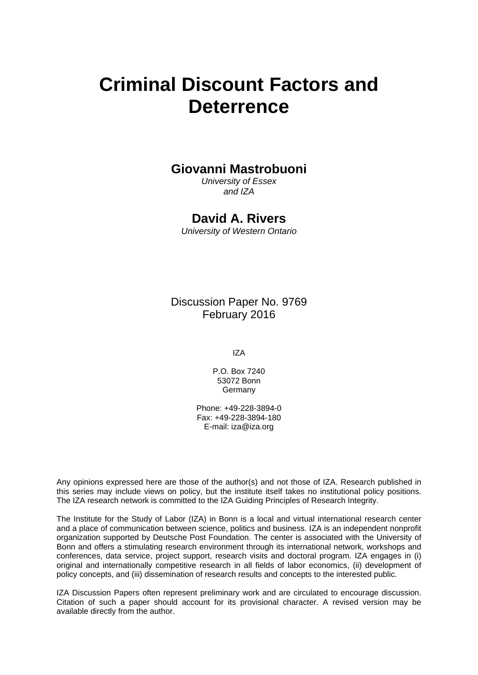# **Criminal Discount Factors and Deterrence**

# **Giovanni Mastrobuoni**

*University of Essex and IZA* 

# **David A. Rivers**

*University of Western Ontario* 

Discussion Paper No. 9769 February 2016

IZA

P.O. Box 7240 53072 Bonn **Germany** 

Phone: +49-228-3894-0 Fax: +49-228-3894-180 E-mail: iza@iza.org

Any opinions expressed here are those of the author(s) and not those of IZA. Research published in this series may include views on policy, but the institute itself takes no institutional policy positions. The IZA research network is committed to the IZA Guiding Principles of Research Integrity.

The Institute for the Study of Labor (IZA) in Bonn is a local and virtual international research center and a place of communication between science, politics and business. IZA is an independent nonprofit organization supported by Deutsche Post Foundation. The center is associated with the University of Bonn and offers a stimulating research environment through its international network, workshops and conferences, data service, project support, research visits and doctoral program. IZA engages in (i) original and internationally competitive research in all fields of labor economics, (ii) development of policy concepts, and (iii) dissemination of research results and concepts to the interested public.

IZA Discussion Papers often represent preliminary work and are circulated to encourage discussion. Citation of such a paper should account for its provisional character. A revised version may be available directly from the author.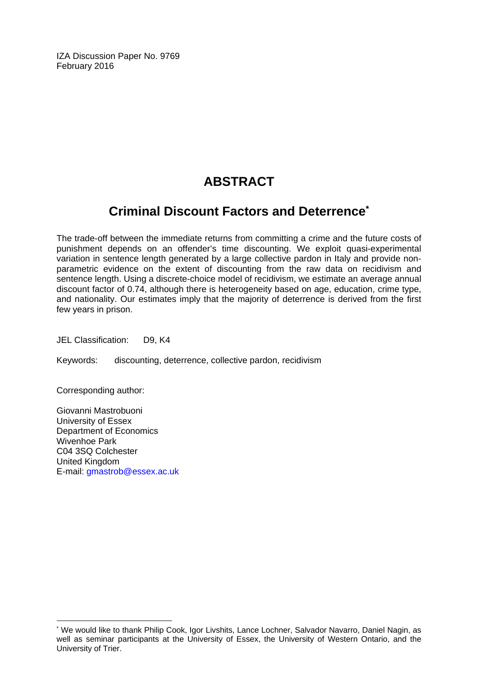IZA Discussion Paper No. 9769 February 2016

# **ABSTRACT**

# **Criminal Discount Factors and Deterrence\***

The trade-off between the immediate returns from committing a crime and the future costs of punishment depends on an offender's time discounting. We exploit quasi-experimental variation in sentence length generated by a large collective pardon in Italy and provide nonparametric evidence on the extent of discounting from the raw data on recidivism and sentence length. Using a discrete-choice model of recidivism, we estimate an average annual discount factor of 0.74, although there is heterogeneity based on age, education, crime type, and nationality. Our estimates imply that the majority of deterrence is derived from the first few years in prison.

JEL Classification: D9, K4

Keywords: discounting, deterrence, collective pardon, recidivism

Corresponding author:

 $\overline{a}$ 

Giovanni Mastrobuoni University of Essex Department of Economics Wivenhoe Park C04 3SQ Colchester United Kingdom E-mail: gmastrob@essex.ac.uk

<sup>\*</sup> We would like to thank Philip Cook, Igor Livshits, Lance Lochner, Salvador Navarro, Daniel Nagin, as well as seminar participants at the University of Essex, the University of Western Ontario, and the University of Trier.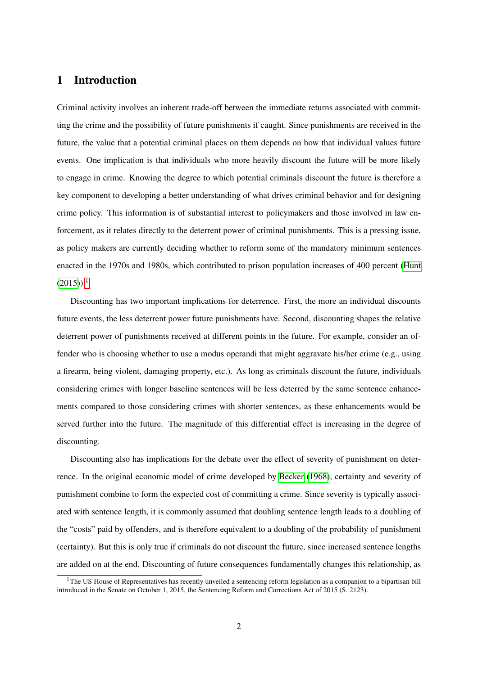# 1 Introduction

Criminal activity involves an inherent trade-off between the immediate returns associated with committing the crime and the possibility of future punishments if caught. Since punishments are received in the future, the value that a potential criminal places on them depends on how that individual values future events. One implication is that individuals who more heavily discount the future will be more likely to engage in crime. Knowing the degree to which potential criminals discount the future is therefore a key component to developing a better understanding of what drives criminal behavior and for designing crime policy. This information is of substantial interest to policymakers and those involved in law enforcement, as it relates directly to the deterrent power of criminal punishments. This is a pressing issue, as policy makers are currently deciding whether to reform some of the mandatory minimum sentences enacted in the 1970s and 1980s, which contributed to prison population increases of 400 percent [\(Hunt](#page-39-0)  $(2015)$ <sup>[1](#page-3-0)</sup>

Discounting has two important implications for deterrence. First, the more an individual discounts future events, the less deterrent power future punishments have. Second, discounting shapes the relative deterrent power of punishments received at different points in the future. For example, consider an offender who is choosing whether to use a modus operandi that might aggravate his/her crime (e.g., using a firearm, being violent, damaging property, etc.). As long as criminals discount the future, individuals considering crimes with longer baseline sentences will be less deterred by the same sentence enhancements compared to those considering crimes with shorter sentences, as these enhancements would be served further into the future. The magnitude of this differential effect is increasing in the degree of discounting.

Discounting also has implications for the debate over the effect of severity of punishment on deterrence. In the original economic model of crime developed by [Becker](#page-37-0) [\(1968\)](#page-37-0), certainty and severity of punishment combine to form the expected cost of committing a crime. Since severity is typically associated with sentence length, it is commonly assumed that doubling sentence length leads to a doubling of the "costs" paid by offenders, and is therefore equivalent to a doubling of the probability of punishment (certainty). But this is only true if criminals do not discount the future, since increased sentence lengths are added on at the end. Discounting of future consequences fundamentally changes this relationship, as

<span id="page-3-0"></span> $1$ The US House of Representatives has recently unveiled a sentencing reform legislation as a companion to a bipartisan bill introduced in the Senate on October 1, 2015, the Sentencing Reform and Corrections Act of 2015 (S. 2123).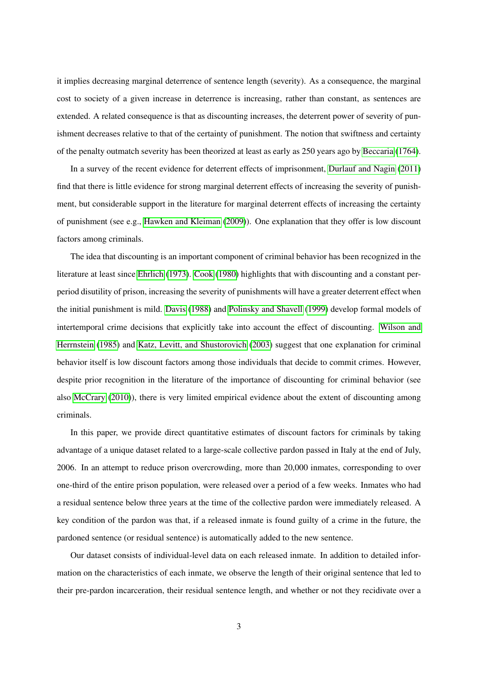it implies decreasing marginal deterrence of sentence length (severity). As a consequence, the marginal cost to society of a given increase in deterrence is increasing, rather than constant, as sentences are extended. A related consequence is that as discounting increases, the deterrent power of severity of punishment decreases relative to that of the certainty of punishment. The notion that swiftness and certainty of the penalty outmatch severity has been theorized at least as early as 250 years ago by [Beccaria](#page-37-1) [\(1764\)](#page-37-1).

In a survey of the recent evidence for deterrent effects of imprisonment, [Durlauf and Nagin](#page-38-0) [\(2011\)](#page-38-0) find that there is little evidence for strong marginal deterrent effects of increasing the severity of punishment, but considerable support in the literature for marginal deterrent effects of increasing the certainty of punishment (see e.g., [Hawken and Kleiman](#page-38-1) [\(2009\)](#page-38-1)). One explanation that they offer is low discount factors among criminals.

The idea that discounting is an important component of criminal behavior has been recognized in the literature at least since [Ehrlich](#page-38-2) [\(1973\)](#page-38-2). [Cook](#page-37-2) [\(1980\)](#page-37-2) highlights that with discounting and a constant perperiod disutility of prison, increasing the severity of punishments will have a greater deterrent effect when the initial punishment is mild. [Davis](#page-37-3) [\(1988\)](#page-37-3) and [Polinsky and Shavell](#page-40-0) [\(1999\)](#page-40-0) develop formal models of intertemporal crime decisions that explicitly take into account the effect of discounting. [Wilson and](#page-40-1) [Herrnstein](#page-40-1) [\(1985\)](#page-40-1) and [Katz, Levitt, and Shustorovich](#page-39-1) [\(2003\)](#page-39-1) suggest that one explanation for criminal behavior itself is low discount factors among those individuals that decide to commit crimes. However, despite prior recognition in the literature of the importance of discounting for criminal behavior (see also [McCrary](#page-39-2) [\(2010\)](#page-39-2)), there is very limited empirical evidence about the extent of discounting among criminals.

In this paper, we provide direct quantitative estimates of discount factors for criminals by taking advantage of a unique dataset related to a large-scale collective pardon passed in Italy at the end of July, 2006. In an attempt to reduce prison overcrowding, more than 20,000 inmates, corresponding to over one-third of the entire prison population, were released over a period of a few weeks. Inmates who had a residual sentence below three years at the time of the collective pardon were immediately released. A key condition of the pardon was that, if a released inmate is found guilty of a crime in the future, the pardoned sentence (or residual sentence) is automatically added to the new sentence.

Our dataset consists of individual-level data on each released inmate. In addition to detailed information on the characteristics of each inmate, we observe the length of their original sentence that led to their pre-pardon incarceration, their residual sentence length, and whether or not they recidivate over a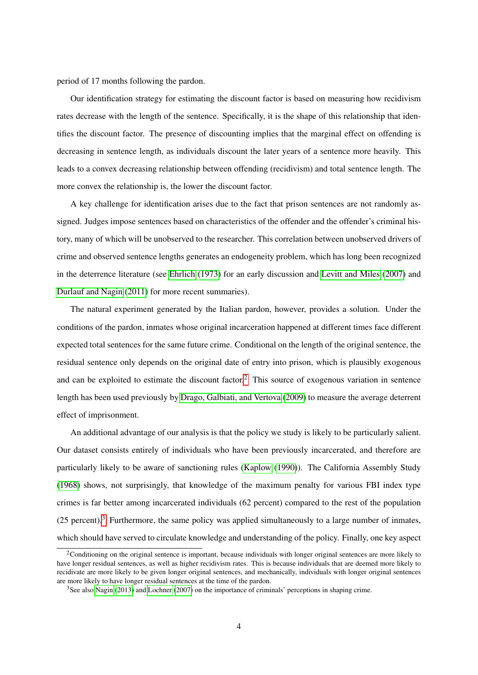period of 17 months following the pardon.

Our identification strategy for estimating the discount factor is based on measuring how recidivism rates decrease with the length of the sentence. Specifically, it is the shape of this relationship that identifies the discount factor. The presence of discounting implies that the marginal effect on offending is decreasing in sentence length, as individuals discount the later years of a sentence more heavily. This leads to a convex decreasing relationship between offending (recidivism) and total sentence length. The more convex the relationship is, the lower the discount factor.

A key challenge for identification arises due to the fact that prison sentences are not randomly assigned. Judges impose sentences based on characteristics of the offender and the offender's criminal history, many of which will be unobserved to the researcher. This correlation between unobserved drivers of crime and observed sentence lengths generates an endogeneity problem, which has long been recognized in the deterrence literature (see [Ehrlich](#page-38-2) [\(1973\)](#page-38-2) for an early discussion and [Levitt and Miles](#page-39-3) [\(2007\)](#page-39-3) and [Durlauf and Nagin](#page-38-0) [\(2011\)](#page-38-0) for more recent summaries).

The natural experiment generated by the Italian pardon, however, provides a solution. Under the conditions of the pardon, inmates whose original incarceration happened at different times face different expected total sentences for the same future crime. Conditional on the length of the original sentence, the residual sentence only depends on the original date of entry into prison, which is plausibly exogenous and can be exploited to estimate the discount factor.<sup>[2](#page-5-0)</sup> This source of exogenous variation in sentence length has been used previously by [Drago, Galbiati, and Vertova](#page-38-3) [\(2009\)](#page-38-3) to measure the average deterrent effect of imprisonment.

An additional advantage of our analysis is that the policy we study is likely to be particularly salient. Our dataset consists entirely of individuals who have been previously incarcerated, and therefore are particularly likely to be aware of sanctioning rules [\(Kaplow](#page-39-4) [\(1990\)](#page-39-4)). The California Assembly Study [\(1968\)](#page-37-4) shows, not surprisingly, that knowledge of the maximum penalty for various FBI index type crimes is far better among incarcerated individuals (62 percent) compared to the rest of the population  $(25 \text{ percent})$ .<sup>[3](#page-5-1)</sup> Furthermore, the same policy was applied simultaneously to a large number of inmates, which should have served to circulate knowledge and understanding of the policy. Finally, one key aspect

<span id="page-5-0"></span> $2$ Conditioning on the original sentence is important, because individuals with longer original sentences are more likely to have longer residual sentences, as well as higher recidivism rates. This is because individuals that are deemed more likely to recidivate are more likely to be given longer original sentences, and mechanically, individuals with longer original sentences are more likely to have longer residual sentences at the time of the pardon.

<span id="page-5-1"></span><sup>&</sup>lt;sup>3</sup>See also [Nagin](#page-40-2) [\(2013\)](#page-40-2) and [Lochner](#page-39-5) [\(2007\)](#page-39-5) on the importance of criminals' perceptions in shaping crime.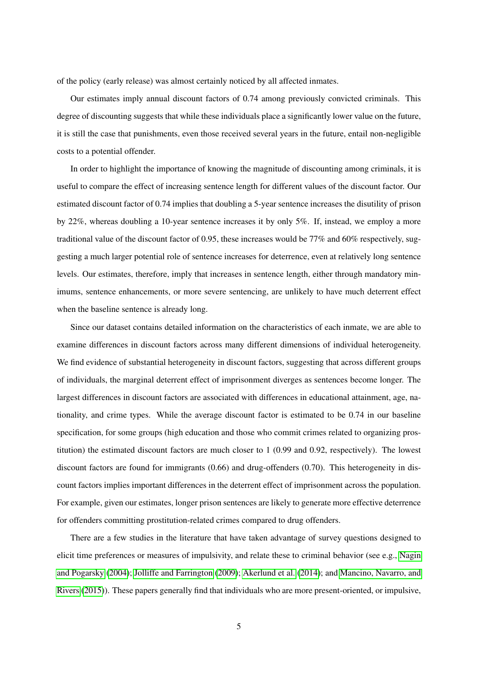of the policy (early release) was almost certainly noticed by all affected inmates.

Our estimates imply annual discount factors of 0.74 among previously convicted criminals. This degree of discounting suggests that while these individuals place a significantly lower value on the future, it is still the case that punishments, even those received several years in the future, entail non-negligible costs to a potential offender.

In order to highlight the importance of knowing the magnitude of discounting among criminals, it is useful to compare the effect of increasing sentence length for different values of the discount factor. Our estimated discount factor of 0.74 implies that doubling a 5-year sentence increases the disutility of prison by 22%, whereas doubling a 10-year sentence increases it by only 5%. If, instead, we employ a more traditional value of the discount factor of 0.95, these increases would be 77% and 60% respectively, suggesting a much larger potential role of sentence increases for deterrence, even at relatively long sentence levels. Our estimates, therefore, imply that increases in sentence length, either through mandatory minimums, sentence enhancements, or more severe sentencing, are unlikely to have much deterrent effect when the baseline sentence is already long.

Since our dataset contains detailed information on the characteristics of each inmate, we are able to examine differences in discount factors across many different dimensions of individual heterogeneity. We find evidence of substantial heterogeneity in discount factors, suggesting that across different groups of individuals, the marginal deterrent effect of imprisonment diverges as sentences become longer. The largest differences in discount factors are associated with differences in educational attainment, age, nationality, and crime types. While the average discount factor is estimated to be 0.74 in our baseline specification, for some groups (high education and those who commit crimes related to organizing prostitution) the estimated discount factors are much closer to 1 (0.99 and 0.92, respectively). The lowest discount factors are found for immigrants (0.66) and drug-offenders (0.70). This heterogeneity in discount factors implies important differences in the deterrent effect of imprisonment across the population. For example, given our estimates, longer prison sentences are likely to generate more effective deterrence for offenders committing prostitution-related crimes compared to drug offenders.

There are a few studies in the literature that have taken advantage of survey questions designed to elicit time preferences or measures of impulsivity, and relate these to criminal behavior (see e.g., [Nagin](#page-40-3) [and Pogarsky](#page-40-3) [\(2004\)](#page-40-3); [Jolliffe and Farrington](#page-39-6) [\(2009\)](#page-39-6); [Akerlund et al.](#page-37-5) [\(2014\)](#page-37-5); and [Mancino, Navarro, and](#page-39-7) [Rivers](#page-39-7) [\(2015\)](#page-39-7)). These papers generally find that individuals who are more present-oriented, or impulsive,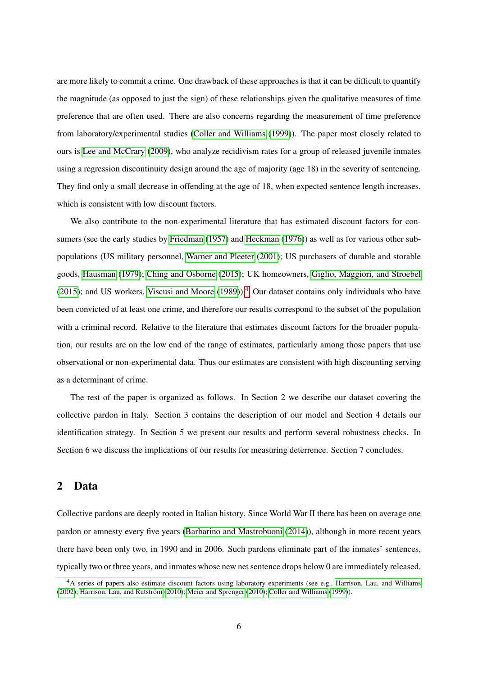are more likely to commit a crime. One drawback of these approaches is that it can be difficult to quantify the magnitude (as opposed to just the sign) of these relationships given the qualitative measures of time preference that are often used. There are also concerns regarding the measurement of time preference from laboratory/experimental studies [\(Coller and Williams](#page-37-6) [\(1999\)](#page-37-6)). The paper most closely related to ours is [Lee and McCrary](#page-39-8) [\(2009\)](#page-39-8), who analyze recidivism rates for a group of released juvenile inmates using a regression discontinuity design around the age of majority (age 18) in the severity of sentencing. They find only a small decrease in offending at the age of 18, when expected sentence length increases, which is consistent with low discount factors.

We also contribute to the non-experimental literature that has estimated discount factors for consumers (see the early studies by [Friedman](#page-38-4) [\(1957\)](#page-38-4) and [Heckman](#page-38-5) [\(1976\)](#page-38-5)) as well as for various other subpopulations (US military personnel, [Warner and Pleeter](#page-40-4) [\(2001\)](#page-40-4); US purchasers of durable and storable goods, [Hausman](#page-38-6) [\(1979\)](#page-38-6); [Ching and Osborne](#page-37-7) [\(2015\)](#page-37-7); UK homeowners, [Giglio, Maggiori, and Stroebel](#page-38-7) [\(2015\)](#page-38-7); and US workers, [Viscusi and Moore](#page-40-5)  $(1989)$ ).<sup>[4](#page-7-0)</sup> Our dataset contains only individuals who have been convicted of at least one crime, and therefore our results correspond to the subset of the population with a criminal record. Relative to the literature that estimates discount factors for the broader population, our results are on the low end of the range of estimates, particularly among those papers that use observational or non-experimental data. Thus our estimates are consistent with high discounting serving as a determinant of crime.

The rest of the paper is organized as follows. In Section 2 we describe our dataset covering the collective pardon in Italy. Section 3 contains the description of our model and Section 4 details our identification strategy. In Section 5 we present our results and perform several robustness checks. In Section 6 we discuss the implications of our results for measuring deterrence. Section 7 concludes.

# <span id="page-7-1"></span>2 Data

Collective pardons are deeply rooted in Italian history. Since World War II there has been on average one pardon or amnesty every five years [\(Barbarino and Mastrobuoni](#page-37-8) [\(2014\)](#page-37-8)), although in more recent years there have been only two, in 1990 and in 2006. Such pardons eliminate part of the inmates' sentences, typically two or three years, and inmates whose new net sentence drops below 0 are immediately released.

<span id="page-7-0"></span><sup>&</sup>lt;sup>4</sup>A series of papers also estimate discount factors using laboratory experiments (see e.g., [Harrison, Lau, and Williams](#page-38-8) [\(2002\)](#page-38-8); [Harrison, Lau, and Rutström](#page-38-9) [\(2010\)](#page-38-9); [Meier and Sprenger](#page-40-6) [\(2010\)](#page-40-6); [Coller and Williams](#page-37-6) [\(1999\)](#page-37-6)).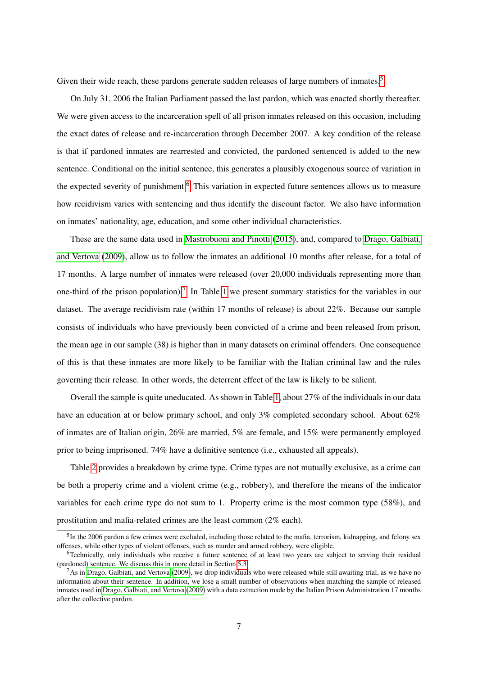Given their wide reach, these pardons generate sudden releases of large numbers of inmates.<sup>[5](#page-8-0)</sup>

On July 31, 2006 the Italian Parliament passed the last pardon, which was enacted shortly thereafter. We were given access to the incarceration spell of all prison inmates released on this occasion, including the exact dates of release and re-incarceration through December 2007. A key condition of the release is that if pardoned inmates are rearrested and convicted, the pardoned sentenced is added to the new sentence. Conditional on the initial sentence, this generates a plausibly exogenous source of variation in the expected severity of punishment.<sup>[6](#page-8-1)</sup> This variation in expected future sentences allows us to measure how recidivism varies with sentencing and thus identify the discount factor. We also have information on inmates' nationality, age, education, and some other individual characteristics.

These are the same data used in [Mastrobuoni and Pinotti](#page-39-9) [\(2015\)](#page-39-9), and, compared to [Drago, Galbiati,](#page-38-3) [and Vertova](#page-38-3) [\(2009\)](#page-38-3), allow us to follow the inmates an additional 10 months after release, for a total of 17 months. A large number of inmates were released (over 20,000 individuals representing more than one-third of the prison population).<sup>[7](#page-8-2)</sup> In Table [1](#page-44-0) we present summary statistics for the variables in our dataset. The average recidivism rate (within 17 months of release) is about 22%. Because our sample consists of individuals who have previously been convicted of a crime and been released from prison, the mean age in our sample (38) is higher than in many datasets on criminal offenders. One consequence of this is that these inmates are more likely to be familiar with the Italian criminal law and the rules governing their release. In other words, the deterrent effect of the law is likely to be salient.

Overall the sample is quite uneducated. As shown in Table [1,](#page-44-0) about 27% of the individuals in our data have an education at or below primary school, and only 3% completed secondary school. About 62% of inmates are of Italian origin, 26% are married, 5% are female, and 15% were permanently employed prior to being imprisoned. 74% have a definitive sentence (i.e., exhausted all appeals).

Table [2](#page-44-1) provides a breakdown by crime type. Crime types are not mutually exclusive, as a crime can be both a property crime and a violent crime (e.g., robbery), and therefore the means of the indicator variables for each crime type do not sum to 1. Property crime is the most common type (58%), and prostitution and mafia-related crimes are the least common (2% each).

<span id="page-8-0"></span> $<sup>5</sup>$ In the 2006 pardon a few crimes were excluded, including those related to the mafia, terrorism, kidnapping, and felony sex</sup> offenses, while other types of violent offenses, such as murder and armed robbery, were eligible.

<span id="page-8-1"></span><sup>6</sup>Technically, only individuals who receive a future sentence of at least two years are subject to serving their residual (pardoned) sentence. We discuss this in more detail in Section [5.3.](#page-26-0)

<span id="page-8-2"></span> $7$ As in [Drago, Galbiati, and Vertova](#page-38-3) [\(2009\)](#page-38-3), we drop individuals who were released while still awaiting trial, as we have no information about their sentence. In addition, we lose a small number of observations when matching the sample of released inmates used in [Drago, Galbiati, and Vertova](#page-38-3) [\(2009\)](#page-38-3) with a data extraction made by the Italian Prison Administration 17 months after the collective pardon.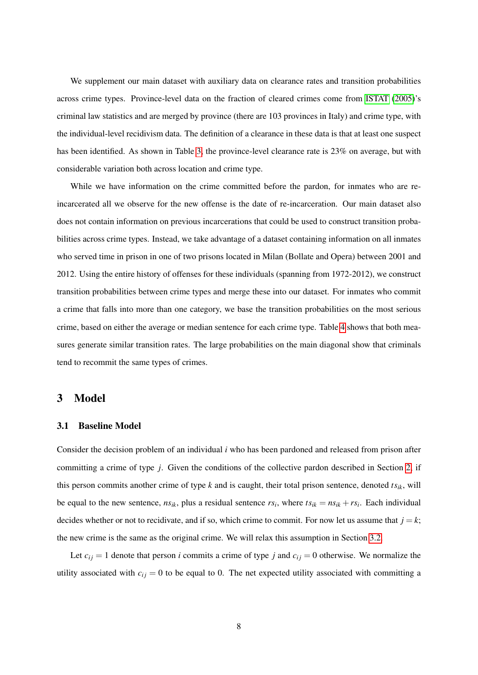We supplement our main dataset with auxiliary data on clearance rates and transition probabilities across crime types. Province-level data on the fraction of cleared crimes come from [ISTAT](#page-39-10) [\(2005\)](#page-39-10)'s criminal law statistics and are merged by province (there are 103 provinces in Italy) and crime type, with the individual-level recidivism data. The definition of a clearance in these data is that at least one suspect has been identified. As shown in Table [3,](#page-45-0) the province-level clearance rate is 23% on average, but with considerable variation both across location and crime type.

While we have information on the crime committed before the pardon, for inmates who are reincarcerated all we observe for the new offense is the date of re-incarceration. Our main dataset also does not contain information on previous incarcerations that could be used to construct transition probabilities across crime types. Instead, we take advantage of a dataset containing information on all inmates who served time in prison in one of two prisons located in Milan (Bollate and Opera) between 2001 and 2012. Using the entire history of offenses for these individuals (spanning from 1972-2012), we construct transition probabilities between crime types and merge these into our dataset. For inmates who commit a crime that falls into more than one category, we base the transition probabilities on the most serious crime, based on either the average or median sentence for each crime type. Table [4](#page-45-1) shows that both measures generate similar transition rates. The large probabilities on the main diagonal show that criminals tend to recommit the same types of crimes.

### 3 Model

#### <span id="page-9-0"></span>3.1 Baseline Model

Consider the decision problem of an individual *i* who has been pardoned and released from prison after committing a crime of type *j*. Given the conditions of the collective pardon described in Section [2,](#page-7-1) if this person commits another crime of type *k* and is caught, their total prison sentence, denoted *tsik*, will be equal to the new sentence,  $ns_{ik}$ , plus a residual sentence  $rs_i$ , where  $ts_{ik} = ns_{ik} + rs_i$ . Each individual decides whether or not to recidivate, and if so, which crime to commit. For now let us assume that  $j = k$ ; the new crime is the same as the original crime. We will relax this assumption in Section [3.2.](#page-11-0)

Let  $c_{ij} = 1$  denote that person *i* commits a crime of type *j* and  $c_{ij} = 0$  otherwise. We normalize the utility associated with  $c_{ij} = 0$  to be equal to 0. The net expected utility associated with committing a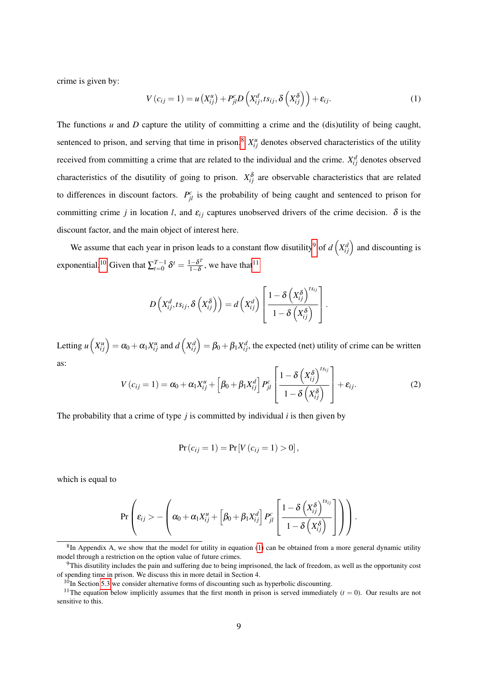crime is given by:

<span id="page-10-4"></span>
$$
V(c_{ij} = 1) = u(X_{ij}^u) + P_{jl}^c D\left(X_{ij}^d, ts_{ij}, \delta\left(X_{ij}^\delta\right)\right) + \varepsilon_{ij}.
$$
 (1)

The functions *u* and *D* capture the utility of committing a crime and the (dis)utility of being caught, sentenced to prison, and serving that time in prison.<sup>[8](#page-10-0)</sup>  $X_{ij}^{\mu}$  denotes observed characteristics of the utility received from committing a crime that are related to the individual and the crime.  $X_{ij}^d$  denotes observed characteristics of the disutility of going to prison.  $X_{ij}^{\delta}$  are observable characteristics that are related to differences in discount factors.  $P_{jl}^c$  is the probability of being caught and sentenced to prison for committing crime *j* in location *l*, and  $\varepsilon$ <sub>*ij*</sub> captures unobserved drivers of the crime decision.  $\delta$  is the discount factor, and the main object of interest here.

We assume that each year in prison leads to a constant flow disutility<sup>[9](#page-10-1)</sup> of  $d\left(X_{ij}^d\right)$  and discounting is exponential.<sup>[10](#page-10-2)</sup> Given that  $\sum_{t=0}^{T-1} \delta^t = \frac{1-\delta^T}{1-\delta}$  $\frac{1-\delta^T}{1-\delta}$ , we have that<sup>[11](#page-10-3)</sup>

$$
D\left(X_{ij}^{d},ts_{ij}, \delta\left(X_{ij}^{\delta}\right)\right) = d\left(X_{ij}^{d}\right)\left[\frac{1-\delta\left(X_{ij}^{\delta}\right)^{ts_{ij}}}{1-\delta\left(X_{ij}^{\delta}\right)}\right].
$$

Letting  $u\left(X_{ij}^u\right) = \alpha_0 + \alpha_1 X_{ij}^u$  and  $d\left(X_{ij}^d\right) = \beta_0 + \beta_1 X_{ij}^d$ , the expected (net) utility of crime can be written as:

<span id="page-10-5"></span>
$$
V(c_{ij} = 1) = \alpha_0 + \alpha_1 X_{ij}^u + \left[\beta_0 + \beta_1 X_{ij}^d\right] P_{jl}^c \left[\frac{1 - \delta\left(X_{ij}^\delta\right)^{t s_{ij}}}{1 - \delta\left(X_{ij}^\delta\right)}\right] + \varepsilon_{ij}.
$$
 (2)

The probability that a crime of type *j* is committed by individual *i* is then given by

$$
Pr(c_{ij} = 1) = Pr[V(c_{ij} = 1) > 0],
$$

which is equal to

$$
\Pr\left(\varepsilon_{ij} > -\left(\alpha_0 + \alpha_1 X_{ij}^u + \left[\beta_0 + \beta_1 X_{ij}^d\right] P_{jl}^c \left[\frac{1-\delta\left(X_{ij}^\delta\right)^{ts_{ij}}}{1-\delta\left(X_{ij}^\delta\right)}\right]\right)\right).
$$

<span id="page-10-0"></span><sup>&</sup>lt;sup>8</sup>In Appendix A, we show that the model for utility in equation [\(1\)](#page-10-4) can be obtained from a more general dynamic utility model through a restriction on the option value of future crimes.

<span id="page-10-1"></span><sup>&</sup>lt;sup>9</sup>This disutility includes the pain and suffering due to being imprisoned, the lack of freedom, as well as the opportunity cost of spending time in prison. We discuss this in more detail in Section 4.

<span id="page-10-3"></span><span id="page-10-2"></span> $10$ In Section [5.3](#page-26-0) we consider alternative forms of discounting such as hyperbolic discounting.

<sup>&</sup>lt;sup>11</sup>The equation below implicitly assumes that the first month in prison is served immediately  $(t = 0)$ . Our results are not sensitive to this.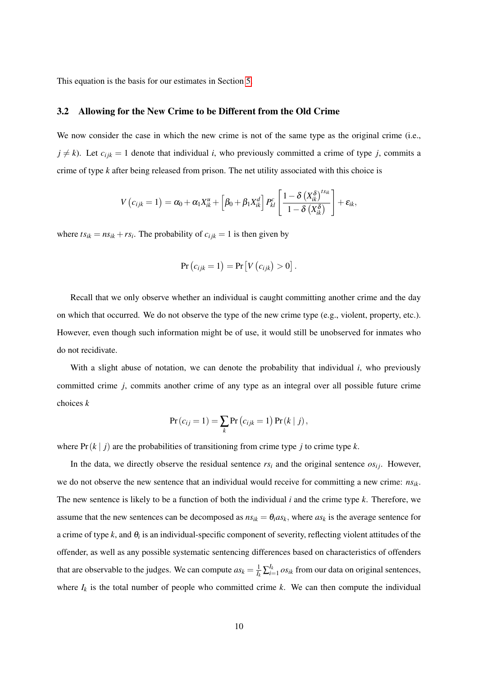This equation is the basis for our estimates in Section [5.](#page-17-0)

#### <span id="page-11-0"></span>3.2 Allowing for the New Crime to be Different from the Old Crime

We now consider the case in which the new crime is not of the same type as the original crime (i.e.,  $j \neq k$ ). Let  $c_{ijk} = 1$  denote that individual *i*, who previously committed a crime of type *j*, commits a crime of type *k* after being released from prison. The net utility associated with this choice is

$$
V\left(c_{ijk}=1\right)=\alpha_0+\alpha_1X_{ik}^u+\left[\beta_0+\beta_1X_{ik}^d\right]P_{kl}^c\left[\frac{1-\delta\left(X_{ik}^{\delta}\right)^{ts_{ik}}}{1-\delta\left(X_{ik}^{\delta}\right)}\right]+\varepsilon_{ik},
$$

where  $ts_{ik} = ns_{ik} + rs_i$ . The probability of  $c_{ijk} = 1$  is then given by

$$
Pr(c_{ijk} = 1) = Pr[V(c_{ijk}) > 0].
$$

Recall that we only observe whether an individual is caught committing another crime and the day on which that occurred. We do not observe the type of the new crime type (e.g., violent, property, etc.). However, even though such information might be of use, it would still be unobserved for inmates who do not recidivate.

With a slight abuse of notation, we can denote the probability that individual  $i$ , who previously committed crime *j*, commits another crime of any type as an integral over all possible future crime choices *k*

$$
Pr(c_{ij} = 1) = \sum_{k} Pr(c_{ijk} = 1) Pr(k | j),
$$

where  $Pr(k | i)$  are the probabilities of transitioning from crime type *j* to crime type *k*.

In the data, we directly observe the residual sentence  $rs_i$  and the original sentence  $os_{ij}$ . However, we do not observe the new sentence that an individual would receive for committing a new crime: *nsik*. The new sentence is likely to be a function of both the individual *i* and the crime type *k*. Therefore, we assume that the new sentences can be decomposed as  $ns_{ik} = \theta_i as_k$ , where  $as_k$  is the average sentence for a crime of type  $k$ , and  $\theta_i$  is an individual-specific component of severity, reflecting violent attitudes of the offender, as well as any possible systematic sentencing differences based on characteristics of offenders that are observable to the judges. We can compute  $as_k = \frac{1}{I_k} \sum_{i=1}^{I_k} os_{ik}$  from our data on original sentences, where  $I_k$  is the total number of people who committed crime  $k$ . We can then compute the individual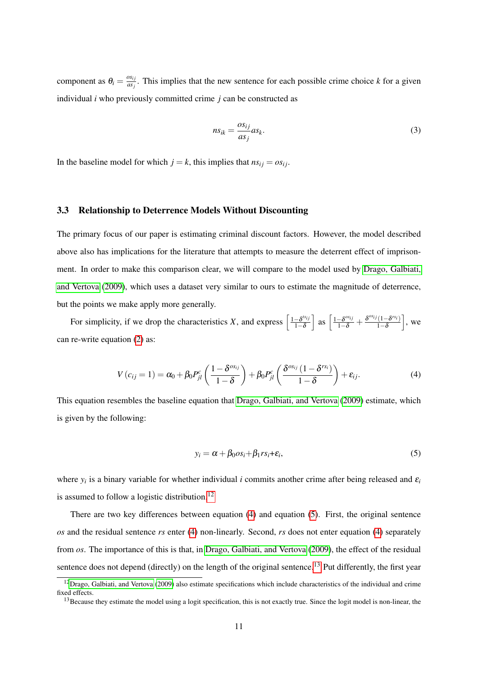component as  $\theta_i = \frac{\omega s_{ij}}{a s_j}$  $a_{s}^{1/2}$ . This implies that the new sentence for each possible crime choice *k* for a given individual *i* who previously committed crime *j* can be constructed as

<span id="page-12-4"></span>
$$
ns_{ik} = \frac{os_{ij}}{as_j} as_k.
$$
\n(3)

In the baseline model for which  $j = k$ , this implies that  $ns_{ij} = os_{ij}$ .

#### 3.3 Relationship to Deterrence Models Without Discounting

The primary focus of our paper is estimating criminal discount factors. However, the model described above also has implications for the literature that attempts to measure the deterrent effect of imprisonment. In order to make this comparison clear, we will compare to the model used by [Drago, Galbiati,](#page-38-3) [and Vertova](#page-38-3) [\(2009\)](#page-38-3), which uses a dataset very similar to ours to estimate the magnitude of deterrence, but the points we make apply more generally.

For simplicity, if we drop the characteristics *X*, and express  $\left[\frac{1-\delta^{t s_{ij}}}{1-\delta}\right]$  $1-\delta$  $\int$  as  $\left[\frac{1-\delta^{os_{ij}}}{1-\delta}+\frac{\delta^{os_{ij}}(1-\delta^{rs_{i}})}{1-\delta}\right]$  $1-\delta$  $\big]$ , we can re-write equation [\(2\)](#page-10-5) as:

<span id="page-12-1"></span>
$$
V(c_{ij}=1)=\alpha_0+\beta_0 P_{jl}^c\left(\frac{1-\delta^{os_{ij}}}{1-\delta}\right)+\beta_0 P_{jl}^c\left(\frac{\delta^{os_{ij}}(1-\delta^{rs_i})}{1-\delta}\right)+\varepsilon_{ij}.
$$
\n(4)

This equation resembles the baseline equation that [Drago, Galbiati, and Vertova](#page-38-3) [\(2009\)](#page-38-3) estimate, which is given by the following:

<span id="page-12-2"></span>
$$
y_i = \alpha + \beta_0 \cos_i + \beta_1 r s_i + \varepsilon_i, \tag{5}
$$

where  $y_i$  is a binary variable for whether individual *i* commits another crime after being released and  $\varepsilon$ <sup>*i*</sup> is assumed to follow a logistic distribution.[12](#page-12-0)

There are two key differences between equation [\(4\)](#page-12-1) and equation [\(5\)](#page-12-2). First, the original sentence *os* and the residual sentence *rs* enter [\(4\)](#page-12-1) non-linearly. Second, *rs* does not enter equation [\(4\)](#page-12-1) separately from *os*. The importance of this is that, in [Drago, Galbiati, and Vertova](#page-38-3) [\(2009\)](#page-38-3), the effect of the residual sentence does not depend (directly) on the length of the original sentence.<sup>[13](#page-12-3)</sup> Put differently, the first year

<span id="page-12-0"></span> $12$ [Drago, Galbiati, and Vertova](#page-38-3) [\(2009\)](#page-38-3) also estimate specifications which include characteristics of the individual and crime fixed effects.

<span id="page-12-3"></span><sup>&</sup>lt;sup>13</sup>Because they estimate the model using a logit specification, this is not exactly true. Since the logit model is non-linear, the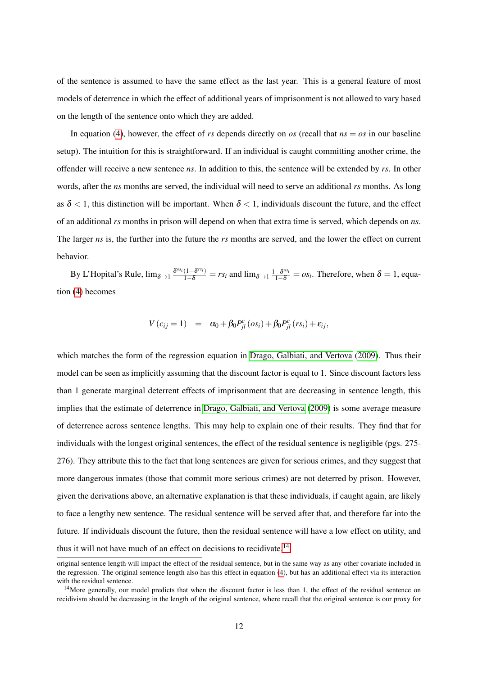of the sentence is assumed to have the same effect as the last year. This is a general feature of most models of deterrence in which the effect of additional years of imprisonment is not allowed to vary based on the length of the sentence onto which they are added.

In equation [\(4\)](#page-12-1), however, the effect of *rs* depends directly on *os* (recall that  $ns = os$  in our baseline setup). The intuition for this is straightforward. If an individual is caught committing another crime, the offender will receive a new sentence *ns*. In addition to this, the sentence will be extended by *rs*. In other words, after the *ns* months are served, the individual will need to serve an additional *rs* months. As long as  $\delta$  < 1, this distinction will be important. When  $\delta$  < 1, individuals discount the future, and the effect of an additional *rs* months in prison will depend on when that extra time is served, which depends on *ns*. The larger *ns* is, the further into the future the *rs* months are served, and the lower the effect on current behavior.

By L'Hopital's Rule,  $\lim_{\delta \to 1} \frac{\delta^{\sigma_{s_i}}(1-\delta^{\sigma_{s_i}})}{1-\delta} = rs_i$  and  $\lim_{\delta \to 1} \frac{1-\delta^{\sigma_{s_i}}}{1-\delta} = os_i$ . Therefore, when  $\delta = 1$ , equation [\(4\)](#page-12-1) becomes

$$
V(c_{ij} = 1) = \alpha_0 + \beta_0 P_{jl}^c(\omega s_i) + \beta_0 P_{jl}^c(rs_i) + \varepsilon_{ij},
$$

which matches the form of the regression equation in [Drago, Galbiati, and Vertova](#page-38-3) [\(2009\)](#page-38-3). Thus their model can be seen as implicitly assuming that the discount factor is equal to 1. Since discount factors less than 1 generate marginal deterrent effects of imprisonment that are decreasing in sentence length, this implies that the estimate of deterrence in [Drago, Galbiati, and Vertova](#page-38-3) [\(2009\)](#page-38-3) is some average measure of deterrence across sentence lengths. This may help to explain one of their results. They find that for individuals with the longest original sentences, the effect of the residual sentence is negligible (pgs. 275- 276). They attribute this to the fact that long sentences are given for serious crimes, and they suggest that more dangerous inmates (those that commit more serious crimes) are not deterred by prison. However, given the derivations above, an alternative explanation is that these individuals, if caught again, are likely to face a lengthy new sentence. The residual sentence will be served after that, and therefore far into the future. If individuals discount the future, then the residual sentence will have a low effect on utility, and thus it will not have much of an effect on decisions to recidivate.<sup>[14](#page-13-0)</sup>

original sentence length will impact the effect of the residual sentence, but in the same way as any other covariate included in the regression. The original sentence length also has this effect in equation [\(4\)](#page-12-1), but has an additional effect via its interaction with the residual sentence.

<span id="page-13-0"></span> $14$ More generally, our model predicts that when the discount factor is less than 1, the effect of the residual sentence on recidivism should be decreasing in the length of the original sentence, where recall that the original sentence is our proxy for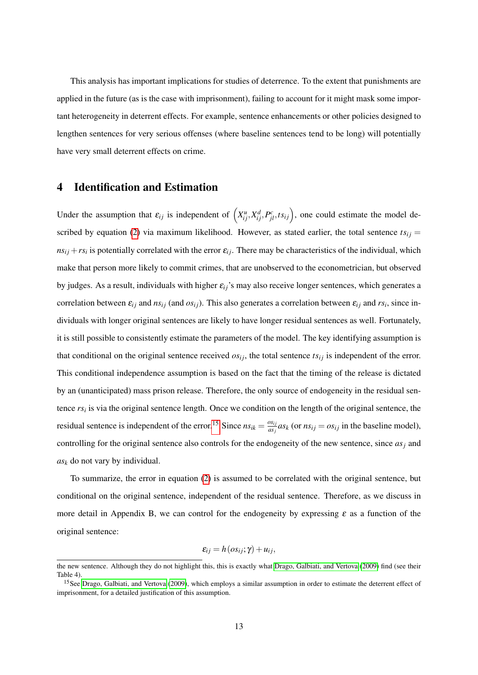This analysis has important implications for studies of deterrence. To the extent that punishments are applied in the future (as is the case with imprisonment), failing to account for it might mask some important heterogeneity in deterrent effects. For example, sentence enhancements or other policies designed to lengthen sentences for very serious offenses (where baseline sentences tend to be long) will potentially have very small deterrent effects on crime.

### 4 Identification and Estimation

Under the assumption that  $\varepsilon_{ij}$  is independent of  $\left(X_{ij}^u, X_{ij}^d, P_{jl}^c, ts_{ij}\right)$ , one could estimate the model de-scribed by equation [\(2\)](#page-10-5) via maximum likelihood. However, as stated earlier, the total sentence  $ts_{ij}$  =  $ns_{ij} + rs_i$  is potentially correlated with the error  $\varepsilon_{ij}$ . There may be characteristics of the individual, which make that person more likely to commit crimes, that are unobserved to the econometrician, but observed by judges. As a result, individuals with higher ε*i j*'s may also receive longer sentences, which generates a correlation between  $\varepsilon_{ij}$  and  $ns_{ij}$  (and  $os_{ij}$ ). This also generates a correlation between  $\varepsilon_{ij}$  and  $rs_i$ , since individuals with longer original sentences are likely to have longer residual sentences as well. Fortunately, it is still possible to consistently estimate the parameters of the model. The key identifying assumption is that conditional on the original sentence received  $os_{ij}$ , the total sentence  $ts_{ij}$  is independent of the error. This conditional independence assumption is based on the fact that the timing of the release is dictated by an (unanticipated) mass prison release. Therefore, the only source of endogeneity in the residual sentence *rs<sup>i</sup>* is via the original sentence length. Once we condition on the length of the original sentence, the residual sentence is independent of the error.<sup>[15](#page-14-0)</sup> Since  $ns_{ik} = \frac{os_{ij}}{as_{ik}}$  $\frac{\partial s_{ij}}{\partial s_j}$  *as*<sub>k</sub> (or *ns*<sub>*i*</sub>  $=$  *os*<sub>*i*</sub> in the baseline model), controlling for the original sentence also controls for the endogeneity of the new sentence, since *as<sup>j</sup>* and *as<sup>k</sup>* do not vary by individual.

To summarize, the error in equation [\(2\)](#page-10-5) is assumed to be correlated with the original sentence, but conditional on the original sentence, independent of the residual sentence. Therefore, as we discuss in more detail in Appendix B, we can control for the endogeneity by expressing  $\varepsilon$  as a function of the original sentence:

$$
\varepsilon_{ij} = h(o s_{ij}; \gamma) + u_{ij},
$$

the new sentence. Although they do not highlight this, this is exactly what [Drago, Galbiati, and Vertova](#page-38-3) [\(2009\)](#page-38-3) find (see their Table 4).

<span id="page-14-0"></span><sup>&</sup>lt;sup>15</sup>See [Drago, Galbiati, and Vertova](#page-38-3) [\(2009\)](#page-38-3), which employs a similar assumption in order to estimate the deterrent effect of imprisonment, for a detailed justification of this assumption.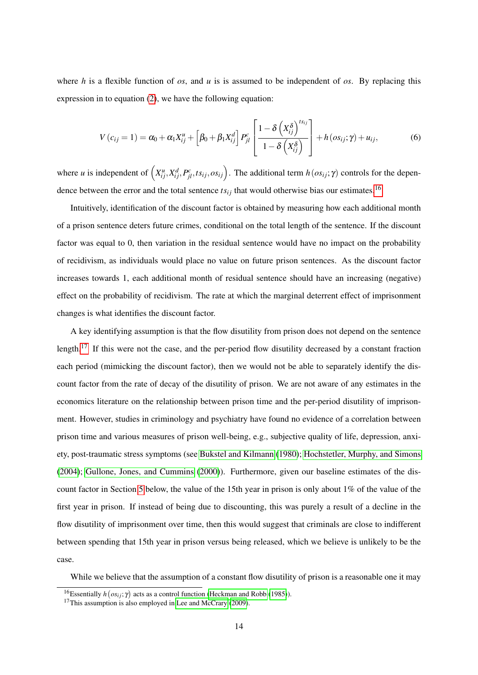where *h* is a flexible function of *os*, and *u* is is assumed to be independent of *os*. By replacing this expression in to equation [\(2\)](#page-10-5), we have the following equation:

<span id="page-15-2"></span>
$$
V(c_{ij} = 1) = \alpha_0 + \alpha_1 X_{ij}^u + \left[\beta_0 + \beta_1 X_{ij}^d\right] P_{jl}^c \left[\frac{1 - \delta \left(X_{ij}^{\delta}\right)^{t s_{ij}}}{1 - \delta \left(X_{ij}^{\delta}\right)}\right] + h(o_{s_{ij}}; \gamma) + u_{ij},
$$
\n(6)

where *u* is independent of  $(X_{ij}^u, X_{ij}^d, P_{jl}^c, ts_{ij}, os_{ij})$ . The additional term  $h(os_{ij}; \gamma)$  controls for the dependence between the error and the total sentence  $ts_{ij}$  that would otherwise bias our estimates.<sup>[16](#page-15-0)</sup>

Intuitively, identification of the discount factor is obtained by measuring how each additional month of a prison sentence deters future crimes, conditional on the total length of the sentence. If the discount factor was equal to 0, then variation in the residual sentence would have no impact on the probability of recidivism, as individuals would place no value on future prison sentences. As the discount factor increases towards 1, each additional month of residual sentence should have an increasing (negative) effect on the probability of recidivism. The rate at which the marginal deterrent effect of imprisonment changes is what identifies the discount factor.

A key identifying assumption is that the flow disutility from prison does not depend on the sentence length.<sup>[17](#page-15-1)</sup> If this were not the case, and the per-period flow disutility decreased by a constant fraction each period (mimicking the discount factor), then we would not be able to separately identify the discount factor from the rate of decay of the disutility of prison. We are not aware of any estimates in the economics literature on the relationship between prison time and the per-period disutility of imprisonment. However, studies in criminology and psychiatry have found no evidence of a correlation between prison time and various measures of prison well-being, e.g., subjective quality of life, depression, anxiety, post-traumatic stress symptoms (see [Bukstel and Kilmann](#page-37-9) [\(1980\)](#page-37-9); [Hochstetler, Murphy, and Simons](#page-39-11) [\(2004\)](#page-39-11); [Gullone, Jones, and Cummins](#page-38-10) [\(2000\)](#page-38-10)). Furthermore, given our baseline estimates of the discount factor in Section [5](#page-17-0) below, the value of the 15th year in prison is only about 1% of the value of the first year in prison. If instead of being due to discounting, this was purely a result of a decline in the flow disutility of imprisonment over time, then this would suggest that criminals are close to indifferent between spending that 15th year in prison versus being released, which we believe is unlikely to be the case.

While we believe that the assumption of a constant flow disutility of prison is a reasonable one it may

<span id="page-15-0"></span><sup>&</sup>lt;sup>16</sup>Essentially *h*  $(o<sub>ij</sub>; \gamma)$  acts as a control function [\(Heckman and Robb](#page-38-11) [\(1985\)](#page-38-11)).

<span id="page-15-1"></span> $17$ This assumption is also employed in [Lee and McCrary](#page-39-8) [\(2009\)](#page-39-8).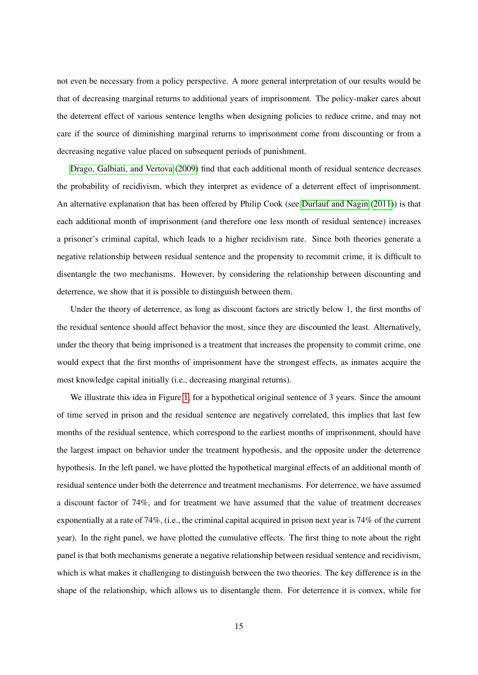not even be necessary from a policy perspective. A more general interpretation of our results would be that of decreasing marginal returns to additional years of imprisonment. The policy-maker cares about the deterrent effect of various sentence lengths when designing policies to reduce crime, and may not care if the source of diminishing marginal returns to imprisonment come from discounting or from a decreasing negative value placed on subsequent periods of punishment.

[Drago, Galbiati, and Vertova](#page-38-3) [\(2009\)](#page-38-3) find that each additional month of residual sentence decreases the probability of recidivism, which they interpret as evidence of a deterrent effect of imprisonment. An alternative explanation that has been offered by Philip Cook (see [Durlauf and Nagin](#page-38-0) [\(2011\)](#page-38-0)) is that each additional month of imprisonment (and therefore one less month of residual sentence) increases a prisoner's criminal capital, which leads to a higher recidivism rate. Since both theories generate a negative relationship between residual sentence and the propensity to recommit crime, it is difficult to disentangle the two mechanisms. However, by considering the relationship between discounting and deterrence, we show that it is possible to distinguish between them.

Under the theory of deterrence, as long as discount factors are strictly below 1, the first months of the residual sentence should affect behavior the most, since they are discounted the least. Alternatively, under the theory that being imprisoned is a treatment that increases the propensity to commit crime, one would expect that the first months of imprisonment have the strongest effects, as inmates acquire the most knowledge capital initially (i.e., decreasing marginal returns).

We illustrate this idea in Figure [1,](#page-41-0) for a hypothetical original sentence of 3 years. Since the amount of time served in prison and the residual sentence are negatively correlated, this implies that last few months of the residual sentence, which correspond to the earliest months of imprisonment, should have the largest impact on behavior under the treatment hypothesis, and the opposite under the deterrence hypothesis. In the left panel, we have plotted the hypothetical marginal effects of an additional month of residual sentence under both the deterrence and treatment mechanisms. For deterrence, we have assumed a discount factor of 74%, and for treatment we have assumed that the value of treatment decreases exponentially at a rate of 74%, (i.e., the criminal capital acquired in prison next year is 74% of the current year). In the right panel, we have plotted the cumulative effects. The first thing to note about the right panel is that both mechanisms generate a negative relationship between residual sentence and recidivism, which is what makes it challenging to distinguish between the two theories. The key difference is in the shape of the relationship, which allows us to disentangle them. For deterrence it is convex, while for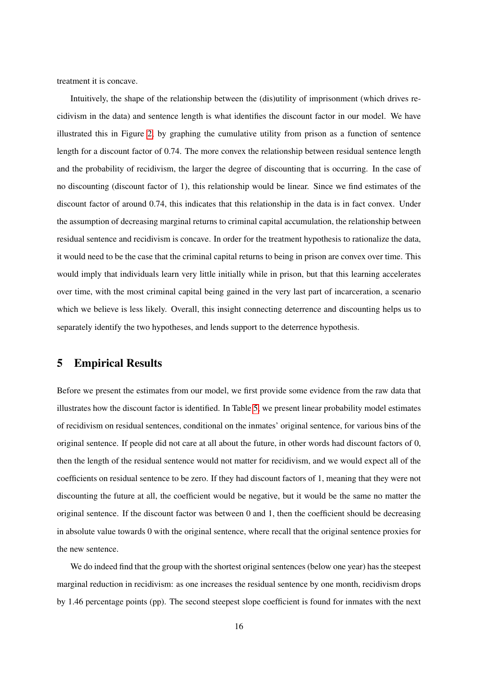treatment it is concave.

Intuitively, the shape of the relationship between the (dis)utility of imprisonment (which drives recidivism in the data) and sentence length is what identifies the discount factor in our model. We have illustrated this in Figure [2,](#page-42-0) by graphing the cumulative utility from prison as a function of sentence length for a discount factor of 0.74. The more convex the relationship between residual sentence length and the probability of recidivism, the larger the degree of discounting that is occurring. In the case of no discounting (discount factor of 1), this relationship would be linear. Since we find estimates of the discount factor of around 0.74, this indicates that this relationship in the data is in fact convex. Under the assumption of decreasing marginal returns to criminal capital accumulation, the relationship between residual sentence and recidivism is concave. In order for the treatment hypothesis to rationalize the data, it would need to be the case that the criminal capital returns to being in prison are convex over time. This would imply that individuals learn very little initially while in prison, but that this learning accelerates over time, with the most criminal capital being gained in the very last part of incarceration, a scenario which we believe is less likely. Overall, this insight connecting deterrence and discounting helps us to separately identify the two hypotheses, and lends support to the deterrence hypothesis.

# <span id="page-17-0"></span>5 Empirical Results

Before we present the estimates from our model, we first provide some evidence from the raw data that illustrates how the discount factor is identified. In Table [5,](#page-45-2) we present linear probability model estimates of recidivism on residual sentences, conditional on the inmates' original sentence, for various bins of the original sentence. If people did not care at all about the future, in other words had discount factors of 0, then the length of the residual sentence would not matter for recidivism, and we would expect all of the coefficients on residual sentence to be zero. If they had discount factors of 1, meaning that they were not discounting the future at all, the coefficient would be negative, but it would be the same no matter the original sentence. If the discount factor was between 0 and 1, then the coefficient should be decreasing in absolute value towards 0 with the original sentence, where recall that the original sentence proxies for the new sentence.

We do indeed find that the group with the shortest original sentences (below one year) has the steepest marginal reduction in recidivism: as one increases the residual sentence by one month, recidivism drops by 1.46 percentage points (pp). The second steepest slope coefficient is found for inmates with the next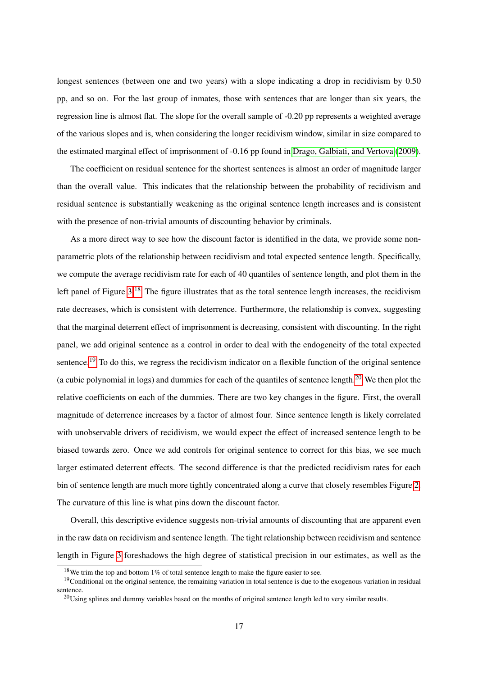longest sentences (between one and two years) with a slope indicating a drop in recidivism by 0.50 pp, and so on. For the last group of inmates, those with sentences that are longer than six years, the regression line is almost flat. The slope for the overall sample of -0.20 pp represents a weighted average of the various slopes and is, when considering the longer recidivism window, similar in size compared to the estimated marginal effect of imprisonment of -0.16 pp found in [Drago, Galbiati, and Vertova](#page-38-3) [\(2009\)](#page-38-3).

The coefficient on residual sentence for the shortest sentences is almost an order of magnitude larger than the overall value. This indicates that the relationship between the probability of recidivism and residual sentence is substantially weakening as the original sentence length increases and is consistent with the presence of non-trivial amounts of discounting behavior by criminals.

As a more direct way to see how the discount factor is identified in the data, we provide some nonparametric plots of the relationship between recidivism and total expected sentence length. Specifically, we compute the average recidivism rate for each of 40 quantiles of sentence length, and plot them in the left panel of Figure  $3<sup>18</sup>$  $3<sup>18</sup>$  $3<sup>18</sup>$ . The figure illustrates that as the total sentence length increases, the recidivism rate decreases, which is consistent with deterrence. Furthermore, the relationship is convex, suggesting that the marginal deterrent effect of imprisonment is decreasing, consistent with discounting. In the right panel, we add original sentence as a control in order to deal with the endogeneity of the total expected sentence.<sup>[19](#page-18-1)</sup> To do this, we regress the recidivism indicator on a flexible function of the original sentence (a cubic polynomial in logs) and dummies for each of the quantiles of sentence length.[20](#page-18-2) We then plot the relative coefficients on each of the dummies. There are two key changes in the figure. First, the overall magnitude of deterrence increases by a factor of almost four. Since sentence length is likely correlated with unobservable drivers of recidivism, we would expect the effect of increased sentence length to be biased towards zero. Once we add controls for original sentence to correct for this bias, we see much larger estimated deterrent effects. The second difference is that the predicted recidivism rates for each bin of sentence length are much more tightly concentrated along a curve that closely resembles Figure [2.](#page-42-0) The curvature of this line is what pins down the discount factor.

Overall, this descriptive evidence suggests non-trivial amounts of discounting that are apparent even in the raw data on recidivism and sentence length. The tight relationship between recidivism and sentence length in Figure [3](#page-42-1) foreshadows the high degree of statistical precision in our estimates, as well as the

<span id="page-18-1"></span><span id="page-18-0"></span><sup>&</sup>lt;sup>18</sup>We trim the top and bottom 1% of total sentence length to make the figure easier to see.

 $19$ Conditional on the original sentence, the remaining variation in total sentence is due to the exogenous variation in residual sentence.

<span id="page-18-2"></span> $^{20}$ Using splines and dummy variables based on the months of original sentence length led to very similar results.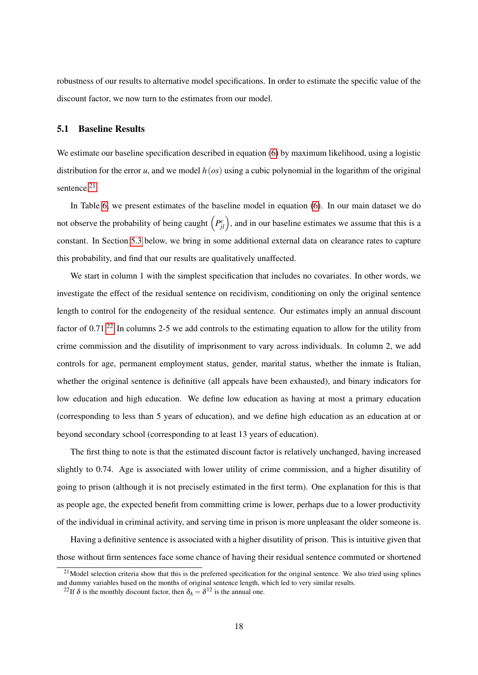robustness of our results to alternative model specifications. In order to estimate the specific value of the discount factor, we now turn to the estimates from our model.

#### 5.1 Baseline Results

We estimate our baseline specification described in equation [\(6\)](#page-15-2) by maximum likelihood, using a logistic distribution for the error *u*, and we model  $h(\alpha s)$  using a cubic polynomial in the logarithm of the original sentence.<sup>[21](#page-19-0)</sup>

In Table [6,](#page-46-0) we present estimates of the baseline model in equation [\(6\)](#page-15-2). In our main dataset we do not observe the probability of being caught  $(P_{jl}^c)$ , and in our baseline estimates we assume that this is a constant. In Section [5.3](#page-26-0) below, we bring in some additional external data on clearance rates to capture this probability, and find that our results are qualitatively unaffected.

We start in column 1 with the simplest specification that includes no covariates. In other words, we investigate the effect of the residual sentence on recidivism, conditioning on only the original sentence length to control for the endogeneity of the residual sentence. Our estimates imply an annual discount factor of  $0.71<sup>22</sup>$  $0.71<sup>22</sup>$  $0.71<sup>22</sup>$  In columns 2-5 we add controls to the estimating equation to allow for the utility from crime commission and the disutility of imprisonment to vary across individuals. In column 2, we add controls for age, permanent employment status, gender, marital status, whether the inmate is Italian, whether the original sentence is definitive (all appeals have been exhausted), and binary indicators for low education and high education. We define low education as having at most a primary education (corresponding to less than 5 years of education), and we define high education as an education at or beyond secondary school (corresponding to at least 13 years of education).

The first thing to note is that the estimated discount factor is relatively unchanged, having increased slightly to 0.74. Age is associated with lower utility of crime commission, and a higher disutility of going to prison (although it is not precisely estimated in the first term). One explanation for this is that as people age, the expected benefit from committing crime is lower, perhaps due to a lower productivity of the individual in criminal activity, and serving time in prison is more unpleasant the older someone is.

Having a definitive sentence is associated with a higher disutility of prison. This is intuitive given that those without firm sentences face some chance of having their residual sentence commuted or shortened

<span id="page-19-0"></span> $21$ Model selection criteria show that this is the preferred specification for the original sentence. We also tried using splines and dummy variables based on the months of original sentence length, which led to very similar results.

<span id="page-19-1"></span><sup>&</sup>lt;sup>22</sup>If  $\delta$  is the monthly discount factor, then  $\delta_A = \delta^{12}$  is the annual one.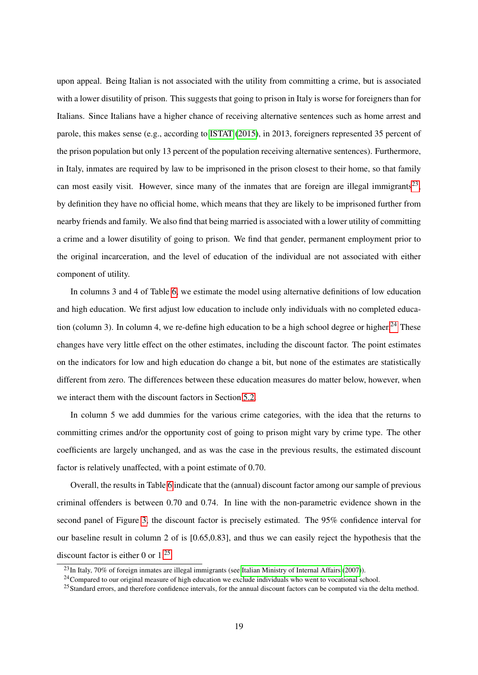upon appeal. Being Italian is not associated with the utility from committing a crime, but is associated with a lower disutility of prison. This suggests that going to prison in Italy is worse for foreigners than for Italians. Since Italians have a higher chance of receiving alternative sentences such as home arrest and parole, this makes sense (e.g., according to [ISTAT](#page-39-12) [\(2015\)](#page-39-12), in 2013, foreigners represented 35 percent of the prison population but only 13 percent of the population receiving alternative sentences). Furthermore, in Italy, inmates are required by law to be imprisoned in the prison closest to their home, so that family can most easily visit. However, since many of the inmates that are foreign are illegal immigrants<sup>[23](#page-20-0)</sup>, by definition they have no official home, which means that they are likely to be imprisoned further from nearby friends and family. We also find that being married is associated with a lower utility of committing a crime and a lower disutility of going to prison. We find that gender, permanent employment prior to the original incarceration, and the level of education of the individual are not associated with either component of utility.

In columns 3 and 4 of Table [6,](#page-46-0) we estimate the model using alternative definitions of low education and high education. We first adjust low education to include only individuals with no completed educa-tion (column 3). In column 4, we re-define high education to be a high school degree or higher.<sup>[24](#page-20-1)</sup> These changes have very little effect on the other estimates, including the discount factor. The point estimates on the indicators for low and high education do change a bit, but none of the estimates are statistically different from zero. The differences between these education measures do matter below, however, when we interact them with the discount factors in Section [5.2.](#page-22-0)

In column 5 we add dummies for the various crime categories, with the idea that the returns to committing crimes and/or the opportunity cost of going to prison might vary by crime type. The other coefficients are largely unchanged, and as was the case in the previous results, the estimated discount factor is relatively unaffected, with a point estimate of 0.70.

Overall, the results in Table [6](#page-46-0) indicate that the (annual) discount factor among our sample of previous criminal offenders is between 0.70 and 0.74. In line with the non-parametric evidence shown in the second panel of Figure [3,](#page-42-1) the discount factor is precisely estimated. The 95% confidence interval for our baseline result in column 2 of is [0.65,0.83], and thus we can easily reject the hypothesis that the discount factor is either 0 or  $1<sup>25</sup>$  $1<sup>25</sup>$  $1<sup>25</sup>$ 

<span id="page-20-0"></span><sup>23</sup>In Italy, 70% of foreign inmates are illegal immigrants (see [Italian Ministry of Internal Affairs](#page-39-13) [\(2007\)](#page-39-13)).

<span id="page-20-1"></span> $24$ Compared to our original measure of high education we exclude individuals who went to vocational school.

<span id="page-20-2"></span><sup>&</sup>lt;sup>25</sup>Standard errors, and therefore confidence intervals, for the annual discount factors can be computed via the delta method.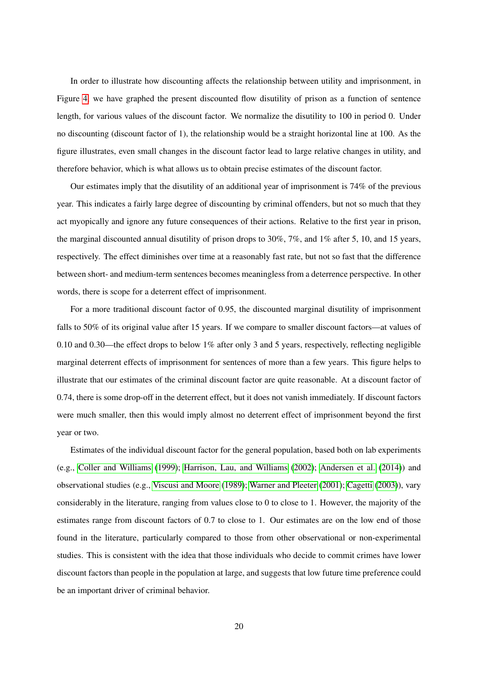In order to illustrate how discounting affects the relationship between utility and imprisonment, in Figure [4,](#page-43-0) we have graphed the present discounted flow disutility of prison as a function of sentence length, for various values of the discount factor. We normalize the disutility to 100 in period 0. Under no discounting (discount factor of 1), the relationship would be a straight horizontal line at 100. As the figure illustrates, even small changes in the discount factor lead to large relative changes in utility, and therefore behavior, which is what allows us to obtain precise estimates of the discount factor.

Our estimates imply that the disutility of an additional year of imprisonment is 74% of the previous year. This indicates a fairly large degree of discounting by criminal offenders, but not so much that they act myopically and ignore any future consequences of their actions. Relative to the first year in prison, the marginal discounted annual disutility of prison drops to 30%, 7%, and 1% after 5, 10, and 15 years, respectively. The effect diminishes over time at a reasonably fast rate, but not so fast that the difference between short- and medium-term sentences becomes meaningless from a deterrence perspective. In other words, there is scope for a deterrent effect of imprisonment.

For a more traditional discount factor of 0.95, the discounted marginal disutility of imprisonment falls to 50% of its original value after 15 years. If we compare to smaller discount factors—at values of 0.10 and 0.30—the effect drops to below 1% after only 3 and 5 years, respectively, reflecting negligible marginal deterrent effects of imprisonment for sentences of more than a few years. This figure helps to illustrate that our estimates of the criminal discount factor are quite reasonable. At a discount factor of 0.74, there is some drop-off in the deterrent effect, but it does not vanish immediately. If discount factors were much smaller, then this would imply almost no deterrent effect of imprisonment beyond the first year or two.

Estimates of the individual discount factor for the general population, based both on lab experiments (e.g., [Coller and Williams](#page-37-6) [\(1999\)](#page-37-6); [Harrison, Lau, and Williams](#page-38-8) [\(2002\)](#page-38-8); [Andersen et al.](#page-37-10) [\(2014\)](#page-37-10)) and observational studies (e.g., [Viscusi and Moore](#page-40-5) [\(1989\)](#page-40-5); [Warner and Pleeter](#page-40-4) [\(2001\)](#page-40-4); [Cagetti](#page-37-11) [\(2003\)](#page-37-11)), vary considerably in the literature, ranging from values close to 0 to close to 1. However, the majority of the estimates range from discount factors of 0.7 to close to 1. Our estimates are on the low end of those found in the literature, particularly compared to those from other observational or non-experimental studies. This is consistent with the idea that those individuals who decide to commit crimes have lower discount factors than people in the population at large, and suggests that low future time preference could be an important driver of criminal behavior.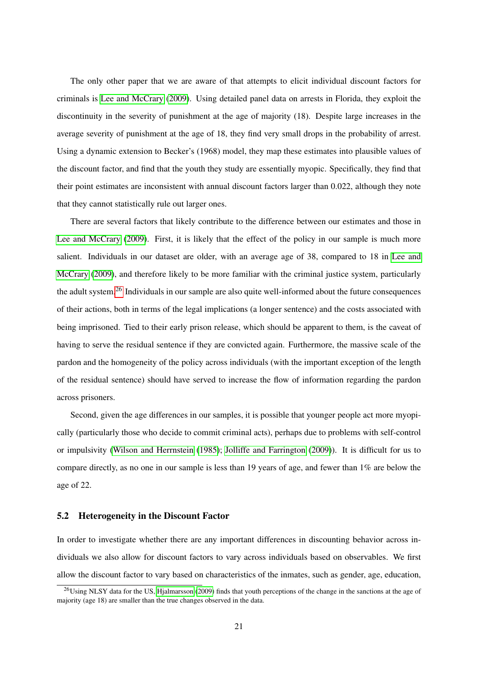The only other paper that we are aware of that attempts to elicit individual discount factors for criminals is [Lee and McCrary](#page-39-8) [\(2009\)](#page-39-8). Using detailed panel data on arrests in Florida, they exploit the discontinuity in the severity of punishment at the age of majority (18). Despite large increases in the average severity of punishment at the age of 18, they find very small drops in the probability of arrest. Using a dynamic extension to Becker's (1968) model, they map these estimates into plausible values of the discount factor, and find that the youth they study are essentially myopic. Specifically, they find that their point estimates are inconsistent with annual discount factors larger than 0.022, although they note that they cannot statistically rule out larger ones.

There are several factors that likely contribute to the difference between our estimates and those in [Lee and McCrary](#page-39-8) [\(2009\)](#page-39-8). First, it is likely that the effect of the policy in our sample is much more salient. Individuals in our dataset are older, with an average age of 38, compared to 18 in [Lee and](#page-39-8) [McCrary](#page-39-8) [\(2009\)](#page-39-8), and therefore likely to be more familiar with the criminal justice system, particularly the adult system.[26](#page-22-1) Individuals in our sample are also quite well-informed about the future consequences of their actions, both in terms of the legal implications (a longer sentence) and the costs associated with being imprisoned. Tied to their early prison release, which should be apparent to them, is the caveat of having to serve the residual sentence if they are convicted again. Furthermore, the massive scale of the pardon and the homogeneity of the policy across individuals (with the important exception of the length of the residual sentence) should have served to increase the flow of information regarding the pardon across prisoners.

Second, given the age differences in our samples, it is possible that younger people act more myopically (particularly those who decide to commit criminal acts), perhaps due to problems with self-control or impulsivity [\(Wilson and Herrnstein](#page-40-1) [\(1985\)](#page-40-1); [Jolliffe and Farrington](#page-39-6) [\(2009\)](#page-39-6)). It is difficult for us to compare directly, as no one in our sample is less than 19 years of age, and fewer than 1% are below the age of 22.

#### <span id="page-22-0"></span>5.2 Heterogeneity in the Discount Factor

In order to investigate whether there are any important differences in discounting behavior across individuals we also allow for discount factors to vary across individuals based on observables. We first allow the discount factor to vary based on characteristics of the inmates, such as gender, age, education,

<span id="page-22-1"></span> $^{26}$ Using NLSY data for the US, [Hjalmarsson](#page-38-12) [\(2009\)](#page-38-12) finds that youth perceptions of the change in the sanctions at the age of majority (age 18) are smaller than the true changes observed in the data.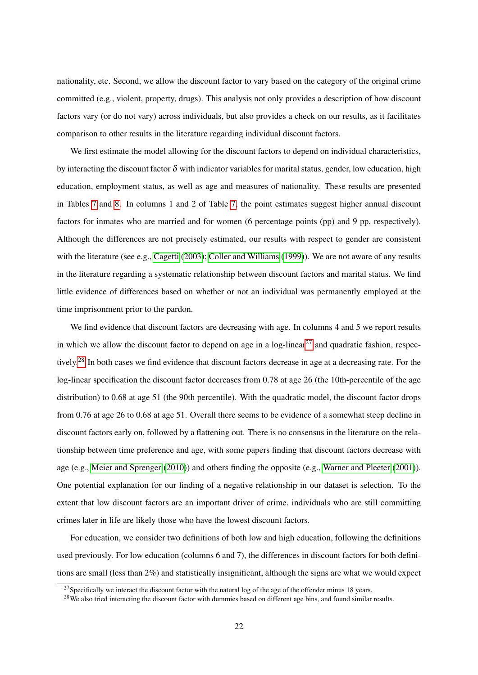nationality, etc. Second, we allow the discount factor to vary based on the category of the original crime committed (e.g., violent, property, drugs). This analysis not only provides a description of how discount factors vary (or do not vary) across individuals, but also provides a check on our results, as it facilitates comparison to other results in the literature regarding individual discount factors.

We first estimate the model allowing for the discount factors to depend on individual characteristics, by interacting the discount factor  $\delta$  with indicator variables for marital status, gender, low education, high education, employment status, as well as age and measures of nationality. These results are presented in Tables [7](#page-47-0) and [8.](#page-48-0) In columns 1 and 2 of Table [7,](#page-47-0) the point estimates suggest higher annual discount factors for inmates who are married and for women (6 percentage points (pp) and 9 pp, respectively). Although the differences are not precisely estimated, our results with respect to gender are consistent with the literature (see e.g., [Cagetti](#page-37-11) [\(2003\)](#page-37-11); [Coller and Williams](#page-37-6) [\(1999\)](#page-37-6)). We are not aware of any results in the literature regarding a systematic relationship between discount factors and marital status. We find little evidence of differences based on whether or not an individual was permanently employed at the time imprisonment prior to the pardon.

We find evidence that discount factors are decreasing with age. In columns 4 and 5 we report results in which we allow the discount factor to depend on age in a log-linear<sup>[27](#page-23-0)</sup> and quadratic fashion, respec-tively.<sup>[28](#page-23-1)</sup> In both cases we find evidence that discount factors decrease in age at a decreasing rate. For the log-linear specification the discount factor decreases from 0.78 at age 26 (the 10th-percentile of the age distribution) to 0.68 at age 51 (the 90th percentile). With the quadratic model, the discount factor drops from 0.76 at age 26 to 0.68 at age 51. Overall there seems to be evidence of a somewhat steep decline in discount factors early on, followed by a flattening out. There is no consensus in the literature on the relationship between time preference and age, with some papers finding that discount factors decrease with age (e.g., [Meier and Sprenger](#page-40-6) [\(2010\)](#page-40-6)) and others finding the opposite (e.g., [Warner and Pleeter](#page-40-4) [\(2001\)](#page-40-4)). One potential explanation for our finding of a negative relationship in our dataset is selection. To the extent that low discount factors are an important driver of crime, individuals who are still committing crimes later in life are likely those who have the lowest discount factors.

For education, we consider two definitions of both low and high education, following the definitions used previously. For low education (columns 6 and 7), the differences in discount factors for both definitions are small (less than 2%) and statistically insignificant, although the signs are what we would expect

<span id="page-23-0"></span><sup>&</sup>lt;sup>27</sup>Specifically we interact the discount factor with the natural log of the age of the offender minus 18 years.

<span id="page-23-1"></span> $^{28}$ We also tried interacting the discount factor with dummies based on different age bins, and found similar results.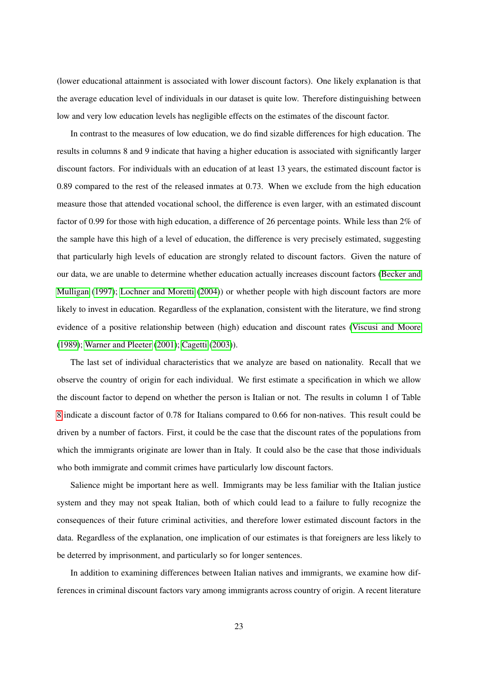(lower educational attainment is associated with lower discount factors). One likely explanation is that the average education level of individuals in our dataset is quite low. Therefore distinguishing between low and very low education levels has negligible effects on the estimates of the discount factor.

In contrast to the measures of low education, we do find sizable differences for high education. The results in columns 8 and 9 indicate that having a higher education is associated with significantly larger discount factors. For individuals with an education of at least 13 years, the estimated discount factor is 0.89 compared to the rest of the released inmates at 0.73. When we exclude from the high education measure those that attended vocational school, the difference is even larger, with an estimated discount factor of 0.99 for those with high education, a difference of 26 percentage points. While less than 2% of the sample have this high of a level of education, the difference is very precisely estimated, suggesting that particularly high levels of education are strongly related to discount factors. Given the nature of our data, we are unable to determine whether education actually increases discount factors [\(Becker and](#page-37-12) [Mulligan](#page-37-12) [\(1997\)](#page-37-12); [Lochner and Moretti](#page-39-14) [\(2004\)](#page-39-14)) or whether people with high discount factors are more likely to invest in education. Regardless of the explanation, consistent with the literature, we find strong evidence of a positive relationship between (high) education and discount rates [\(Viscusi and Moore](#page-40-5) [\(1989\)](#page-40-5); [Warner and Pleeter](#page-40-4) [\(2001\)](#page-40-4); [Cagetti](#page-37-11) [\(2003\)](#page-37-11)).

The last set of individual characteristics that we analyze are based on nationality. Recall that we observe the country of origin for each individual. We first estimate a specification in which we allow the discount factor to depend on whether the person is Italian or not. The results in column 1 of Table [8](#page-48-0) indicate a discount factor of 0.78 for Italians compared to 0.66 for non-natives. This result could be driven by a number of factors. First, it could be the case that the discount rates of the populations from which the immigrants originate are lower than in Italy. It could also be the case that those individuals who both immigrate and commit crimes have particularly low discount factors.

Salience might be important here as well. Immigrants may be less familiar with the Italian justice system and they may not speak Italian, both of which could lead to a failure to fully recognize the consequences of their future criminal activities, and therefore lower estimated discount factors in the data. Regardless of the explanation, one implication of our estimates is that foreigners are less likely to be deterred by imprisonment, and particularly so for longer sentences.

In addition to examining differences between Italian natives and immigrants, we examine how differences in criminal discount factors vary among immigrants across country of origin. A recent literature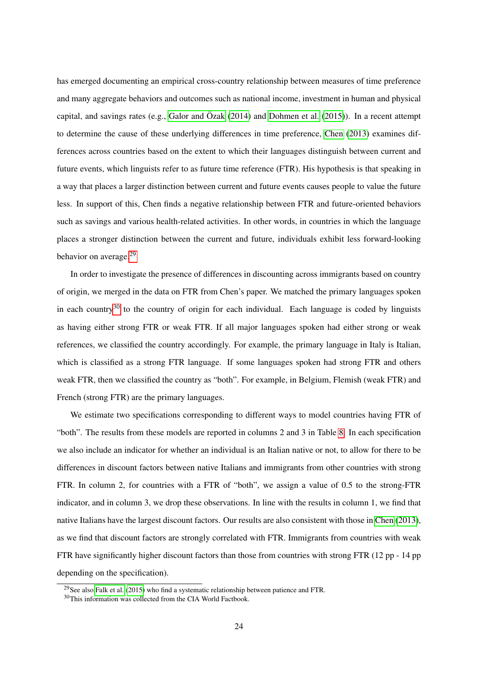has emerged documenting an empirical cross-country relationship between measures of time preference and many aggregate behaviors and outcomes such as national income, investment in human and physical capital, and savings rates (e.g., [Galor and Özak](#page-38-13) [\(2014\)](#page-38-13) and [Dohmen et al.](#page-38-14) [\(2015\)](#page-38-14)). In a recent attempt to determine the cause of these underlying differences in time preference, [Chen](#page-37-13) [\(2013\)](#page-37-13) examines differences across countries based on the extent to which their languages distinguish between current and future events, which linguists refer to as future time reference (FTR). His hypothesis is that speaking in a way that places a larger distinction between current and future events causes people to value the future less. In support of this, Chen finds a negative relationship between FTR and future-oriented behaviors such as savings and various health-related activities. In other words, in countries in which the language places a stronger distinction between the current and future, individuals exhibit less forward-looking behavior on average. $29$ 

In order to investigate the presence of differences in discounting across immigrants based on country of origin, we merged in the data on FTR from Chen's paper. We matched the primary languages spoken in each country<sup>[30](#page-25-1)</sup> to the country of origin for each individual. Each language is coded by linguists as having either strong FTR or weak FTR. If all major languages spoken had either strong or weak references, we classified the country accordingly. For example, the primary language in Italy is Italian, which is classified as a strong FTR language. If some languages spoken had strong FTR and others weak FTR, then we classified the country as "both". For example, in Belgium, Flemish (weak FTR) and French (strong FTR) are the primary languages.

We estimate two specifications corresponding to different ways to model countries having FTR of "both". The results from these models are reported in columns 2 and 3 in Table [8.](#page-48-0) In each specification we also include an indicator for whether an individual is an Italian native or not, to allow for there to be differences in discount factors between native Italians and immigrants from other countries with strong FTR. In column 2, for countries with a FTR of "both", we assign a value of 0.5 to the strong-FTR indicator, and in column 3, we drop these observations. In line with the results in column 1, we find that native Italians have the largest discount factors. Our results are also consistent with those in [Chen](#page-37-13) [\(2013\)](#page-37-13), as we find that discount factors are strongly correlated with FTR. Immigrants from countries with weak FTR have significantly higher discount factors than those from countries with strong FTR (12 pp - 14 pp depending on the specification).

<span id="page-25-0"></span> $^{29}$ See also [Falk et al.](#page-38-15) [\(2015\)](#page-38-15) who find a systematic relationship between patience and FTR.

<span id="page-25-1"></span> $30$ This information was collected from the CIA World Factbook.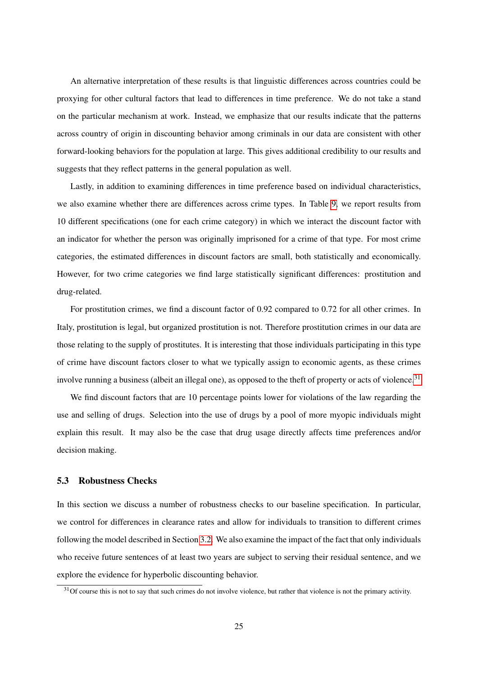An alternative interpretation of these results is that linguistic differences across countries could be proxying for other cultural factors that lead to differences in time preference. We do not take a stand on the particular mechanism at work. Instead, we emphasize that our results indicate that the patterns across country of origin in discounting behavior among criminals in our data are consistent with other forward-looking behaviors for the population at large. This gives additional credibility to our results and suggests that they reflect patterns in the general population as well.

Lastly, in addition to examining differences in time preference based on individual characteristics, we also examine whether there are differences across crime types. In Table [9,](#page-49-0) we report results from 10 different specifications (one for each crime category) in which we interact the discount factor with an indicator for whether the person was originally imprisoned for a crime of that type. For most crime categories, the estimated differences in discount factors are small, both statistically and economically. However, for two crime categories we find large statistically significant differences: prostitution and drug-related.

For prostitution crimes, we find a discount factor of 0.92 compared to 0.72 for all other crimes. In Italy, prostitution is legal, but organized prostitution is not. Therefore prostitution crimes in our data are those relating to the supply of prostitutes. It is interesting that those individuals participating in this type of crime have discount factors closer to what we typically assign to economic agents, as these crimes involve running a business (albeit an illegal one), as opposed to the theft of property or acts of violence.<sup>[31](#page-26-1)</sup>

We find discount factors that are 10 percentage points lower for violations of the law regarding the use and selling of drugs. Selection into the use of drugs by a pool of more myopic individuals might explain this result. It may also be the case that drug usage directly affects time preferences and/or decision making.

#### <span id="page-26-0"></span>5.3 Robustness Checks

In this section we discuss a number of robustness checks to our baseline specification. In particular, we control for differences in clearance rates and allow for individuals to transition to different crimes following the model described in Section [3.2.](#page-11-0) We also examine the impact of the fact that only individuals who receive future sentences of at least two years are subject to serving their residual sentence, and we explore the evidence for hyperbolic discounting behavior.

<span id="page-26-1"></span> $31$ Of course this is not to say that such crimes do not involve violence, but rather that violence is not the primary activity.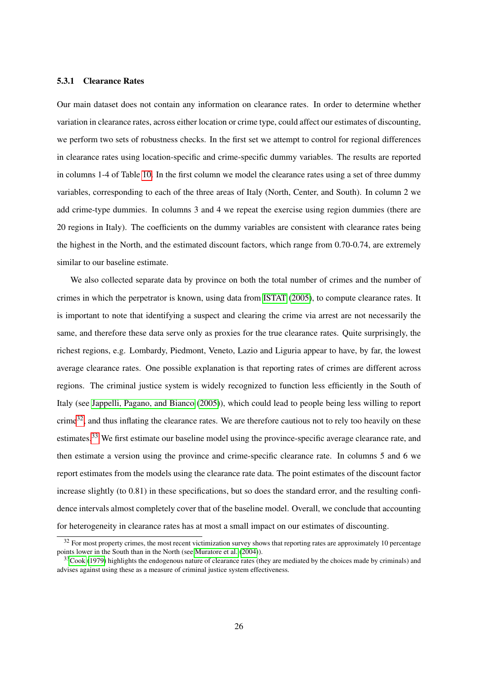#### 5.3.1 Clearance Rates

Our main dataset does not contain any information on clearance rates. In order to determine whether variation in clearance rates, across either location or crime type, could affect our estimates of discounting, we perform two sets of robustness checks. In the first set we attempt to control for regional differences in clearance rates using location-specific and crime-specific dummy variables. The results are reported in columns 1-4 of Table [10.](#page-50-0) In the first column we model the clearance rates using a set of three dummy variables, corresponding to each of the three areas of Italy (North, Center, and South). In column 2 we add crime-type dummies. In columns 3 and 4 we repeat the exercise using region dummies (there are 20 regions in Italy). The coefficients on the dummy variables are consistent with clearance rates being the highest in the North, and the estimated discount factors, which range from 0.70-0.74, are extremely similar to our baseline estimate.

We also collected separate data by province on both the total number of crimes and the number of crimes in which the perpetrator is known, using data from [ISTAT](#page-39-10) [\(2005\)](#page-39-10), to compute clearance rates. It is important to note that identifying a suspect and clearing the crime via arrest are not necessarily the same, and therefore these data serve only as proxies for the true clearance rates. Quite surprisingly, the richest regions, e.g. Lombardy, Piedmont, Veneto, Lazio and Liguria appear to have, by far, the lowest average clearance rates. One possible explanation is that reporting rates of crimes are different across regions. The criminal justice system is widely recognized to function less efficiently in the South of Italy (see [Jappelli, Pagano, and Bianco](#page-39-15) [\(2005\)](#page-39-15)), which could lead to people being less willing to report crime<sup>[32](#page-27-0)</sup>, and thus inflating the clearance rates. We are therefore cautious not to rely too heavily on these estimates.<sup>[33](#page-27-1)</sup> We first estimate our baseline model using the province-specific average clearance rate, and then estimate a version using the province and crime-specific clearance rate. In columns 5 and 6 we report estimates from the models using the clearance rate data. The point estimates of the discount factor increase slightly (to 0.81) in these specifications, but so does the standard error, and the resulting confidence intervals almost completely cover that of the baseline model. Overall, we conclude that accounting for heterogeneity in clearance rates has at most a small impact on our estimates of discounting.

<span id="page-27-0"></span> $32$  For most property crimes, the most recent victimization survey shows that reporting rates are approximately 10 percentage points lower in the South than in the North (see [Muratore et al.](#page-40-7) [\(2004\)](#page-40-7)).

<span id="page-27-1"></span> $33$ [Cook](#page-37-14) [\(1979\)](#page-37-14) highlights the endogenous nature of clearance rates (they are mediated by the choices made by criminals) and advises against using these as a measure of criminal justice system effectiveness.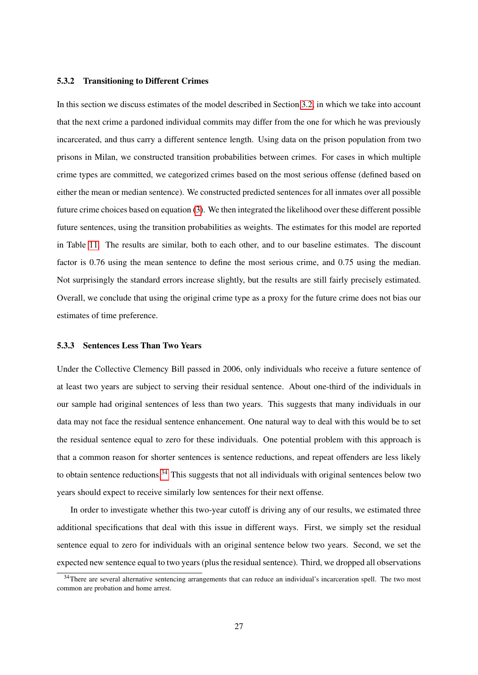#### 5.3.2 Transitioning to Different Crimes

In this section we discuss estimates of the model described in Section [3.2,](#page-11-0) in which we take into account that the next crime a pardoned individual commits may differ from the one for which he was previously incarcerated, and thus carry a different sentence length. Using data on the prison population from two prisons in Milan, we constructed transition probabilities between crimes. For cases in which multiple crime types are committed, we categorized crimes based on the most serious offense (defined based on either the mean or median sentence). We constructed predicted sentences for all inmates over all possible future crime choices based on equation [\(3\)](#page-12-4). We then integrated the likelihood over these different possible future sentences, using the transition probabilities as weights. The estimates for this model are reported in Table [11.](#page-51-0) The results are similar, both to each other, and to our baseline estimates. The discount factor is 0.76 using the mean sentence to define the most serious crime, and 0.75 using the median. Not surprisingly the standard errors increase slightly, but the results are still fairly precisely estimated. Overall, we conclude that using the original crime type as a proxy for the future crime does not bias our estimates of time preference.

#### 5.3.3 Sentences Less Than Two Years

Under the Collective Clemency Bill passed in 2006, only individuals who receive a future sentence of at least two years are subject to serving their residual sentence. About one-third of the individuals in our sample had original sentences of less than two years. This suggests that many individuals in our data may not face the residual sentence enhancement. One natural way to deal with this would be to set the residual sentence equal to zero for these individuals. One potential problem with this approach is that a common reason for shorter sentences is sentence reductions, and repeat offenders are less likely to obtain sentence reductions.[34](#page-28-0) This suggests that not all individuals with original sentences below two years should expect to receive similarly low sentences for their next offense.

In order to investigate whether this two-year cutoff is driving any of our results, we estimated three additional specifications that deal with this issue in different ways. First, we simply set the residual sentence equal to zero for individuals with an original sentence below two years. Second, we set the expected new sentence equal to two years (plus the residual sentence). Third, we dropped all observations

<span id="page-28-0"></span><sup>&</sup>lt;sup>34</sup>There are several alternative sentencing arrangements that can reduce an individual's incarceration spell. The two most common are probation and home arrest.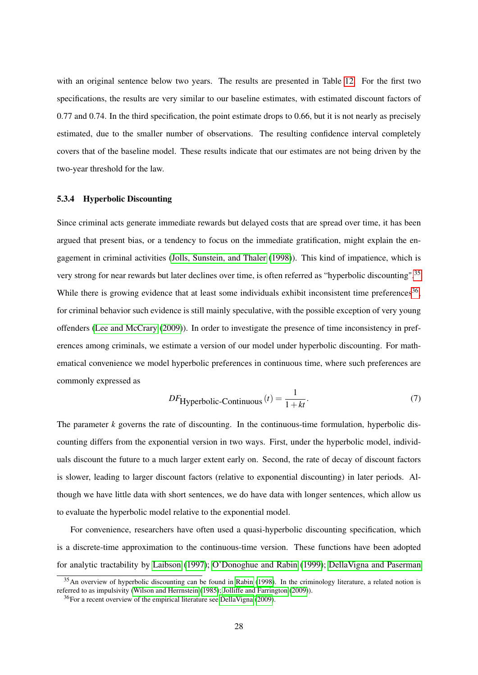with an original sentence below two years. The results are presented in Table [12.](#page-51-1) For the first two specifications, the results are very similar to our baseline estimates, with estimated discount factors of 0.77 and 0.74. In the third specification, the point estimate drops to 0.66, but it is not nearly as precisely estimated, due to the smaller number of observations. The resulting confidence interval completely covers that of the baseline model. These results indicate that our estimates are not being driven by the two-year threshold for the law.

#### 5.3.4 Hyperbolic Discounting

Since criminal acts generate immediate rewards but delayed costs that are spread over time, it has been argued that present bias, or a tendency to focus on the immediate gratification, might explain the engagement in criminal activities [\(Jolls, Sunstein, and Thaler](#page-39-16) [\(1998\)](#page-39-16)). This kind of impatience, which is very strong for near rewards but later declines over time, is often referred as "hyperbolic discounting".[35](#page-29-0) While there is growing evidence that at least some individuals exhibit inconsistent time preferences<sup>[36](#page-29-1)</sup>, for criminal behavior such evidence is still mainly speculative, with the possible exception of very young offenders [\(Lee and McCrary](#page-39-8) [\(2009\)](#page-39-8)). In order to investigate the presence of time inconsistency in preferences among criminals, we estimate a version of our model under hyperbolic discounting. For mathematical convenience we model hyperbolic preferences in continuous time, where such preferences are commonly expressed as

<span id="page-29-2"></span>
$$
DF_{\text{Hyperbolic-Continuous}}(t) = \frac{1}{1+kt}.\tag{7}
$$

The parameter *k* governs the rate of discounting. In the continuous-time formulation, hyperbolic discounting differs from the exponential version in two ways. First, under the hyperbolic model, individuals discount the future to a much larger extent early on. Second, the rate of decay of discount factors is slower, leading to larger discount factors (relative to exponential discounting) in later periods. Although we have little data with short sentences, we do have data with longer sentences, which allow us to evaluate the hyperbolic model relative to the exponential model.

For convenience, researchers have often used a quasi-hyperbolic discounting specification, which is a discrete-time approximation to the continuous-time version. These functions have been adopted for analytic tractability by [Laibson](#page-39-17) [\(1997\)](#page-39-17); [O'Donoghue and Rabin](#page-40-8) [\(1999\)](#page-40-8); [DellaVigna and Paserman](#page-37-15)

<span id="page-29-0"></span> $35$ An overview of hyperbolic discounting can be found in [Rabin](#page-40-9) [\(1998\)](#page-40-9). In the criminology literature, a related notion is referred to as impulsivity [\(Wilson and Herrnstein](#page-40-1) [\(1985\)](#page-40-1); [Jolliffe and Farrington](#page-39-6) [\(2009\)](#page-39-6)).

<span id="page-29-1"></span> $36$  For a recent overview of the empirical literature see [DellaVigna](#page-37-16) [\(2009\)](#page-37-16).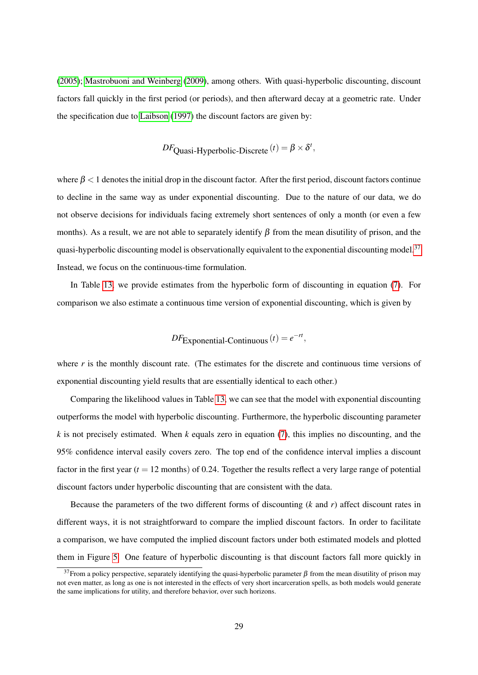[\(2005\)](#page-37-15); [Mastrobuoni and Weinberg](#page-39-18) [\(2009\)](#page-39-18), among others. With quasi-hyperbolic discounting, discount factors fall quickly in the first period (or periods), and then afterward decay at a geometric rate. Under the specification due to [Laibson](#page-39-17) [\(1997\)](#page-39-17) the discount factors are given by:

$$
DF_{\text{Quasi-Hyperbolic-Discrete}}(t) = \beta \times \delta^t,
$$

where  $\beta$  < 1 denotes the initial drop in the discount factor. After the first period, discount factors continue to decline in the same way as under exponential discounting. Due to the nature of our data, we do not observe decisions for individuals facing extremely short sentences of only a month (or even a few months). As a result, we are not able to separately identify  $\beta$  from the mean disutility of prison, and the quasi-hyperbolic discounting model is observationally equivalent to the exponential discounting model.<sup>[37](#page-30-0)</sup> Instead, we focus on the continuous-time formulation.

In Table [13,](#page-51-2) we provide estimates from the hyperbolic form of discounting in equation [\(7\)](#page-29-2). For comparison we also estimate a continuous time version of exponential discounting, which is given by

$$
DF_{\text{Exponential-Continuous}}(t) = e^{-rt},
$$

where  $r$  is the monthly discount rate. (The estimates for the discrete and continuous time versions of exponential discounting yield results that are essentially identical to each other.)

Comparing the likelihood values in Table [13,](#page-51-2) we can see that the model with exponential discounting outperforms the model with hyperbolic discounting. Furthermore, the hyperbolic discounting parameter *k* is not precisely estimated. When *k* equals zero in equation [\(7\)](#page-29-2), this implies no discounting, and the 95% confidence interval easily covers zero. The top end of the confidence interval implies a discount factor in the first year  $(t = 12 \text{ months})$  of 0.24. Together the results reflect a very large range of potential discount factors under hyperbolic discounting that are consistent with the data.

Because the parameters of the two different forms of discounting (*k* and *r*) affect discount rates in different ways, it is not straightforward to compare the implied discount factors. In order to facilitate a comparison, we have computed the implied discount factors under both estimated models and plotted them in Figure [5.](#page-43-1) One feature of hyperbolic discounting is that discount factors fall more quickly in

<span id="page-30-0"></span><sup>&</sup>lt;sup>37</sup>From a policy perspective, separately identifying the quasi-hyperbolic parameter β from the mean disutility of prison may not even matter, as long as one is not interested in the effects of very short incarceration spells, as both models would generate the same implications for utility, and therefore behavior, over such horizons.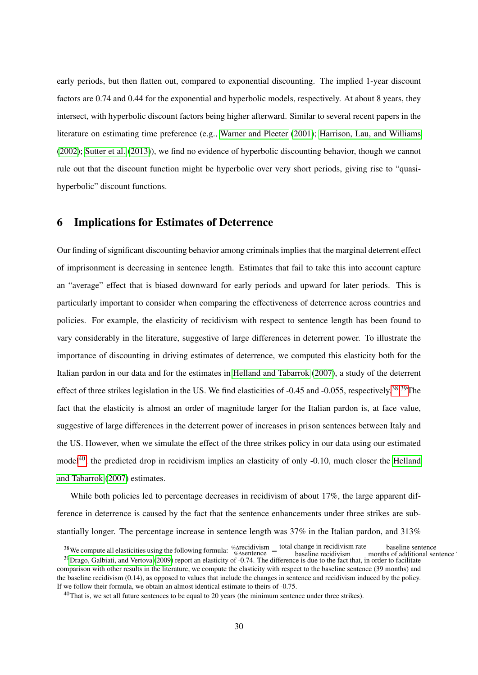early periods, but then flatten out, compared to exponential discounting. The implied 1-year discount factors are 0.74 and 0.44 for the exponential and hyperbolic models, respectively. At about 8 years, they intersect, with hyperbolic discount factors being higher afterward. Similar to several recent papers in the literature on estimating time preference (e.g., [Warner and Pleeter](#page-40-4) [\(2001\)](#page-40-4); [Harrison, Lau, and Williams](#page-38-8) [\(2002\)](#page-38-8); [Sutter et al.](#page-40-10) [\(2013\)](#page-40-10)), we find no evidence of hyperbolic discounting behavior, though we cannot rule out that the discount function might be hyperbolic over very short periods, giving rise to "quasihyperbolic" discount functions.

# 6 Implications for Estimates of Deterrence

Our finding of significant discounting behavior among criminals implies that the marginal deterrent effect of imprisonment is decreasing in sentence length. Estimates that fail to take this into account capture an "average" effect that is biased downward for early periods and upward for later periods. This is particularly important to consider when comparing the effectiveness of deterrence across countries and policies. For example, the elasticity of recidivism with respect to sentence length has been found to vary considerably in the literature, suggestive of large differences in deterrent power. To illustrate the importance of discounting in driving estimates of deterrence, we computed this elasticity both for the Italian pardon in our data and for the estimates in [Helland and Tabarrok](#page-38-16) [\(2007\)](#page-38-16), a study of the deterrent effect of three strikes legislation in the US. We find elasticities of -0.45 and -0.055, respectively.<sup>[38,](#page-31-0)[39](#page-31-1)</sup>The fact that the elasticity is almost an order of magnitude larger for the Italian pardon is, at face value, suggestive of large differences in the deterrent power of increases in prison sentences between Italy and the US. However, when we simulate the effect of the three strikes policy in our data using our estimated model<sup>[40](#page-31-2)</sup>, the predicted drop in recidivism implies an elasticity of only -0.10, much closer the [Helland](#page-38-16) [and Tabarrok](#page-38-16) [\(2007\)](#page-38-16) estimates.

While both policies led to percentage decreases in recidivism of about 17%, the large apparent difference in deterrence is caused by the fact that the sentence enhancements under three strikes are substantially longer. The percentage increase in sentence length was 37% in the Italian pardon, and 313%

<span id="page-31-1"></span><span id="page-31-0"></span><sup>&</sup>lt;sup>38</sup>We compute all elasticities using the following formula:  $\frac{\% \text{Arecidivism}}{\% \text{asentence}} = \frac{\text{total change in recidivism}}{\text{baseline recidivism}}$ we compute an elasticities using the following formula.  $\frac{1}{\sqrt{6}}$   $\frac{1}{\sqrt{6}}$  and  $\frac{1}{\sqrt{6}}$  and  $\frac{1}{\sqrt{6}}$  of  $\frac{1}{\sqrt{6}}$  or  $\frac{1}{\sqrt{6}}$  and  $\frac{1}{\sqrt{6}}$  or  $\frac{1}{\sqrt{6}}$  or  $\frac{1}{\sqrt{6}}$  and  $\frac{1}{\sqrt{6}}$  or  $\frac{$ baseline sentence months of additional sentence .

comparison with other results in the literature, we compute the elasticity with respect to the baseline sentence (39 months) and the baseline recidivism (0.14), as opposed to values that include the changes in sentence and recidivism induced by the policy. If we follow their formula, we obtain an almost identical estimate to theirs of -0.75.

<span id="page-31-2"></span> $40$ That is, we set all future sentences to be equal to 20 years (the minimum sentence under three strikes).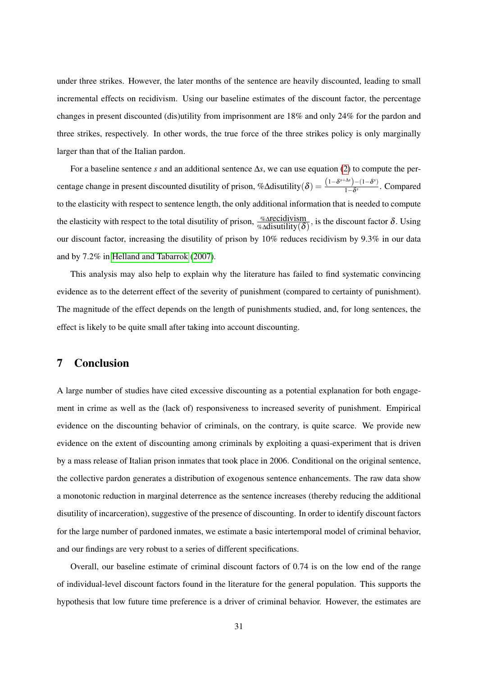under three strikes. However, the later months of the sentence are heavily discounted, leading to small incremental effects on recidivism. Using our baseline estimates of the discount factor, the percentage changes in present discounted (dis)utility from imprisonment are 18% and only 24% for the pardon and three strikes, respectively. In other words, the true force of the three strikes policy is only marginally larger than that of the Italian pardon.

For a baseline sentence *s* and an additional sentence ∆*s*, we can use equation [\(2\)](#page-10-5) to compute the percentage change in present discounted disutility of prison, %∆disutility( $\delta$ ) =  $\frac{(1-\delta^{s+\Delta s})-(1-\delta^{s})}{1-\delta^{s}}$  $\frac{1-\delta^{s}}{1-\delta^{s}}$ . Compared to the elasticity with respect to sentence length, the only additional information that is needed to compute the elasticity with respect to the total disutility of prison,  $\frac{\% \text{Arecidivism}}{\% \text{Adisutility}}$ , is the discount factor  $\delta$ . Using our discount factor, increasing the disutility of prison by 10% reduces recidivism by 9.3% in our data and by 7.2% in [Helland and Tabarrok](#page-38-16) [\(2007\)](#page-38-16).

This analysis may also help to explain why the literature has failed to find systematic convincing evidence as to the deterrent effect of the severity of punishment (compared to certainty of punishment). The magnitude of the effect depends on the length of punishments studied, and, for long sentences, the effect is likely to be quite small after taking into account discounting.

# 7 Conclusion

A large number of studies have cited excessive discounting as a potential explanation for both engagement in crime as well as the (lack of) responsiveness to increased severity of punishment. Empirical evidence on the discounting behavior of criminals, on the contrary, is quite scarce. We provide new evidence on the extent of discounting among criminals by exploiting a quasi-experiment that is driven by a mass release of Italian prison inmates that took place in 2006. Conditional on the original sentence, the collective pardon generates a distribution of exogenous sentence enhancements. The raw data show a monotonic reduction in marginal deterrence as the sentence increases (thereby reducing the additional disutility of incarceration), suggestive of the presence of discounting. In order to identify discount factors for the large number of pardoned inmates, we estimate a basic intertemporal model of criminal behavior, and our findings are very robust to a series of different specifications.

Overall, our baseline estimate of criminal discount factors of 0.74 is on the low end of the range of individual-level discount factors found in the literature for the general population. This supports the hypothesis that low future time preference is a driver of criminal behavior. However, the estimates are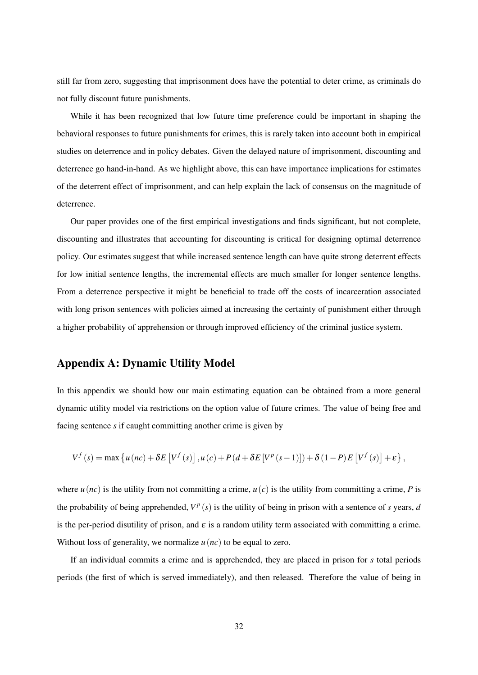still far from zero, suggesting that imprisonment does have the potential to deter crime, as criminals do not fully discount future punishments.

While it has been recognized that low future time preference could be important in shaping the behavioral responses to future punishments for crimes, this is rarely taken into account both in empirical studies on deterrence and in policy debates. Given the delayed nature of imprisonment, discounting and deterrence go hand-in-hand. As we highlight above, this can have importance implications for estimates of the deterrent effect of imprisonment, and can help explain the lack of consensus on the magnitude of deterrence.

Our paper provides one of the first empirical investigations and finds significant, but not complete, discounting and illustrates that accounting for discounting is critical for designing optimal deterrence policy. Our estimates suggest that while increased sentence length can have quite strong deterrent effects for low initial sentence lengths, the incremental effects are much smaller for longer sentence lengths. From a deterrence perspective it might be beneficial to trade off the costs of incarceration associated with long prison sentences with policies aimed at increasing the certainty of punishment either through a higher probability of apprehension or through improved efficiency of the criminal justice system.

# Appendix A: Dynamic Utility Model

In this appendix we should how our main estimating equation can be obtained from a more general dynamic utility model via restrictions on the option value of future crimes. The value of being free and facing sentence *s* if caught committing another crime is given by

$$
V^f(s) = \max \left\{ u\left( nc \right) + \delta E \left[ V^f(s) \right], u\left( c \right) + P\left( d + \delta E \left[ V^p(s-1) \right] \right) + \delta \left( 1 - P \right) E \left[ V^f(s) \right] + \varepsilon \right\},\
$$

where  $u(nc)$  is the utility from not committing a crime,  $u(c)$  is the utility from committing a crime, *P* is the probability of being apprehended,  $V^p(s)$  is the utility of being in prison with a sentence of *s* years, *d* is the per-period disutility of prison, and  $\varepsilon$  is a random utility term associated with committing a crime. Without loss of generality, we normalize *u*(*nc*) to be equal to zero.

If an individual commits a crime and is apprehended, they are placed in prison for *s* total periods periods (the first of which is served immediately), and then released. Therefore the value of being in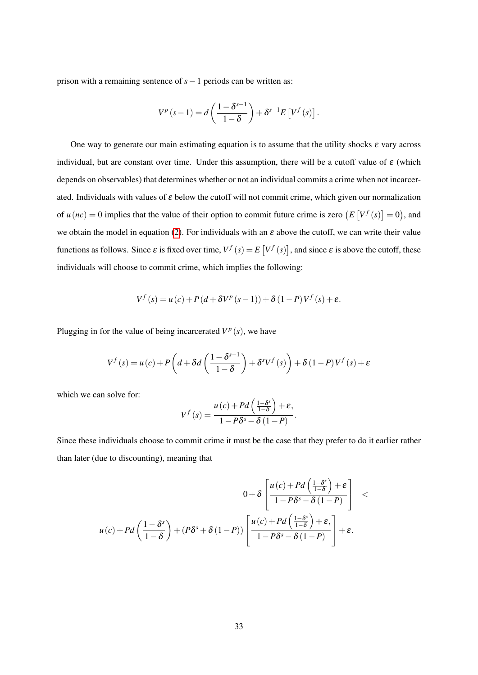prison with a remaining sentence of *s*−1 periods can be written as:

$$
V^{p}(s-1) = d\left(\frac{1-\delta^{s-1}}{1-\delta}\right) + \delta^{s-1}E[V^{f}(s)].
$$

One way to generate our main estimating equation is to assume that the utility shocks  $\varepsilon$  vary across individual, but are constant over time. Under this assumption, there will be a cutoff value of  $\varepsilon$  (which depends on observables) that determines whether or not an individual commits a crime when not incarcerated. Individuals with values of  $\varepsilon$  below the cutoff will not commit crime, which given our normalization of  $u(nc) = 0$  implies that the value of their option to commit future crime is zero  $(E[V^f(s)] = 0)$ , and we obtain the model in equation [\(2\)](#page-10-5). For individuals with an  $\varepsilon$  above the cutoff, we can write their value functions as follows. Since  $\varepsilon$  is fixed over time,  $V^f(s) = E[V^f(s)]$ , and since  $\varepsilon$  is above the cutoff, these individuals will choose to commit crime, which implies the following:

$$
V^f(s) = u(c) + P(d + \delta V^p(s-1)) + \delta (1-P)V^f(s) + \varepsilon.
$$

Plugging in for the value of being incarcerated  $V^p(s)$ , we have

$$
V^f(s) = u(c) + P\left(d + \delta d\left(\frac{1 - \delta^{s-1}}{1 - \delta}\right) + \delta^s V^f(s)\right) + \delta(1 - P)V^f(s) + \varepsilon
$$

which we can solve for:

$$
V^f(s) = \frac{u(c) + Pd\left(\frac{1-\delta^s}{1-\delta}\right) + \varepsilon}{1 - P\delta^s - \delta(1-P)}
$$

.

Since these individuals choose to commit crime it must be the case that they prefer to do it earlier rather than later (due to discounting), meaning that

$$
0 + \delta \left[ \frac{u(c) + Pd\left(\frac{1-\delta^s}{1-\delta}\right) + \varepsilon}{1 - P\delta^s - \delta(1-P)} \right] u(c) + Pd\left(\frac{1-\delta^s}{1-\delta}\right) + (P\delta^s + \delta(1-P)) \left[ \frac{u(c) + Pd\left(\frac{1-\delta^s}{1-\delta}\right) + \varepsilon}{1 - P\delta^s - \delta(1-P)} \right] + \varepsilon.
$$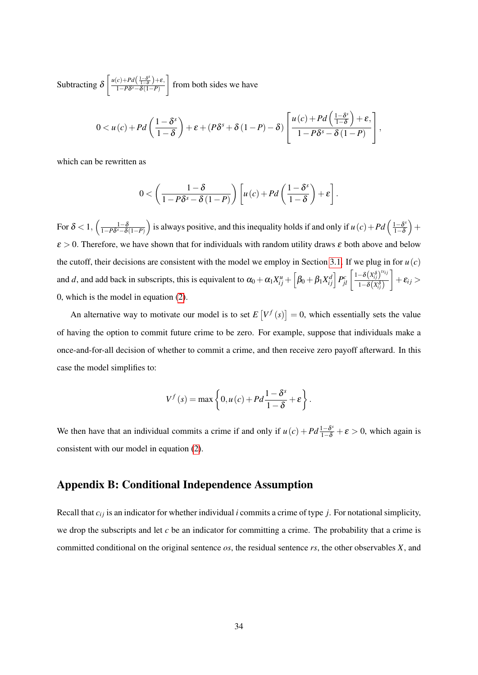Subtracting  $\delta \left[ \frac{u(c) + P d\left( \frac{1-\delta^s}{1-\delta} \right)}{1-P \delta^s - \delta(1-\delta^s)} \right]$  $\frac{1-\delta^s}{1-\delta}\big)+\varepsilon,$ 1−*P*δ *<sup>s</sup>*−δ(1−*P*)  $\int$  from both sides we have

$$
0 < u(c) + P d \left( \frac{1-\delta^{s}}{1-\delta} \right) + \varepsilon + (P \delta^{s} + \delta (1-P) - \delta) \left[ \frac{u(c) + P d \left( \frac{1-\delta^{s}}{1-\delta} \right) + \varepsilon}{1-P \delta^{s} - \delta (1-P)} \right],
$$

which can be rewritten as

$$
0 < \left(\frac{1-\delta}{1-P\delta^s-\delta(1-P)}\right)\left[u(c)+Pd\left(\frac{1-\delta^s}{1-\delta}\right)+\varepsilon\right].
$$

For  $\delta$  < 1,  $\left(\frac{1-\delta}{1-P\delta^s-\delta}\right)$ 1−*P*δ *<sup>s</sup>*−δ(1−*P*) ) is always positive, and this inequality holds if and only if  $u(c) + Pd\left(\frac{1-\delta^2}{1-\delta}\right)$  $1-\delta$  $+$  $\epsilon > 0$ . Therefore, we have shown that for individuals with random utility draws  $\epsilon$  both above and below the cutoff, their decisions are consistent with the model we employ in Section [3.1.](#page-9-0) If we plug in for  $u(c)$ and *d*, and add back in subscripts, this is equivalent to  $\alpha_0 + \alpha_1 X_{ij}^u + \left[\beta_0 + \beta_1 X_{ij}^d\right] P_{jl}^c \left[\frac{1-\delta(X_{ij}^{\delta})^{ts_{ij}}}{1-\delta(X_{ij}^{\delta})}\right]$  $1-\delta(X_{ij}^δ)$  $\Big] + \varepsilon_{ij} >$ 0, which is the model in equation [\(2\)](#page-10-5).

An alternative way to motivate our model is to set  $E[V^f(s)] = 0$ , which essentially sets the value of having the option to commit future crime to be zero. For example, suppose that individuals make a once-and-for-all decision of whether to commit a crime, and then receive zero payoff afterward. In this case the model simplifies to:

$$
V^f(s) = \max \left\{ 0, u(c) + P d \frac{1 - \delta^s}{1 - \delta} + \varepsilon \right\}.
$$

We then have that an individual commits a crime if and only if  $u(c) + Pd \frac{1-\delta^s}{1-\delta} + \varepsilon > 0$ , which again is consistent with our model in equation [\(2\)](#page-10-5).

# Appendix B: Conditional Independence Assumption

Recall that  $c_{ij}$  is an indicator for whether individual *i* commits a crime of type *j*. For notational simplicity, we drop the subscripts and let *c* be an indicator for committing a crime. The probability that a crime is committed conditional on the original sentence *os*, the residual sentence *rs*, the other observables *X*, and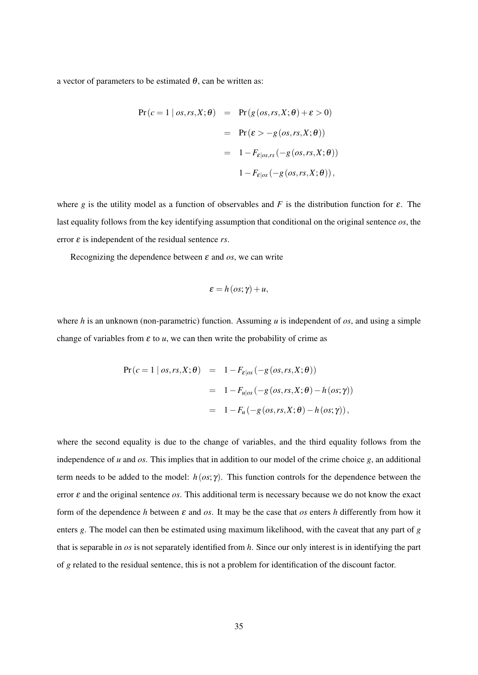a vector of parameters to be estimated θ, can be written as:

$$
Pr(c = 1 | os, rs, X; \theta) = Pr(g (os, rs, X; \theta) + \varepsilon > 0)
$$
  
= Pr(\varepsilon > -g (os, rs, X; \theta))  
= 1 - F\_{\varepsilon|os, rs} (-g (os, rs, X; \theta))  

$$
1 - F_{\varepsilon|os} (-g (os, rs, X; \theta)),
$$

where *g* is the utility model as a function of observables and *F* is the distribution function for  $\varepsilon$ . The last equality follows from the key identifying assumption that conditional on the original sentence *os*, the error  $\varepsilon$  is independent of the residual sentence  $rs$ .

Recognizing the dependence between  $\varepsilon$  and  $\omega$ s, we can write

$$
\varepsilon = h(o s; \gamma) + u,
$$

where *h* is an unknown (non-parametric) function. Assuming *u* is independent of *os*, and using a simple change of variables from  $\varepsilon$  to  $u$ , we can then write the probability of crime as

$$
Pr(c = 1 | os, rs, X; \theta) = 1 - F_{\varepsilon|os}(-g (os, rs, X; \theta))
$$
  
= 1 - F\_{u|os}(-g (os, rs, X; \theta) - h (os; \gamma))  
= 1 - F\_u(-g (os, rs, X; \theta) - h (os; \gamma)),

where the second equality is due to the change of variables, and the third equality follows from the independence of  $u$  and  $\sigma s$ . This implies that in addition to our model of the crime choice  $g$ , an additional term needs to be added to the model:  $h(\alpha s; \gamma)$ . This function controls for the dependence between the error ε and the original sentence *os*. This additional term is necessary because we do not know the exact form of the dependence *h* between ε and *os*. It may be the case that *os* enters *h* differently from how it enters *g*. The model can then be estimated using maximum likelihood, with the caveat that any part of *g* that is separable in *os* is not separately identified from *h*. Since our only interest is in identifying the part of *g* related to the residual sentence, this is not a problem for identification of the discount factor.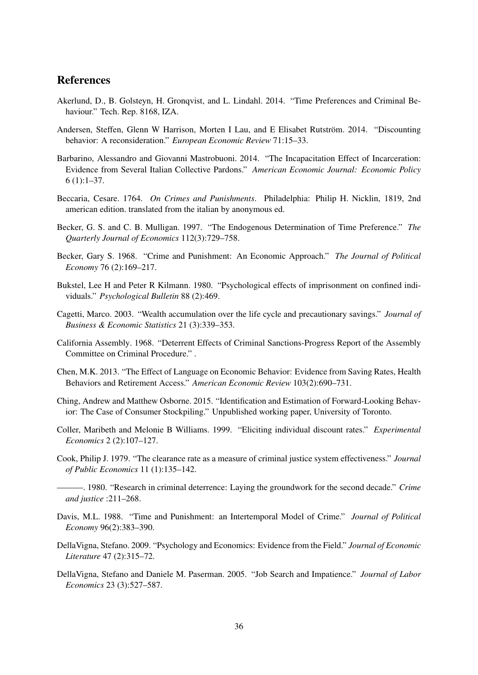# References

- <span id="page-37-5"></span>Akerlund, D., B. Golsteyn, H. Gronqvist, and L. Lindahl. 2014. "Time Preferences and Criminal Behaviour." Tech. Rep. 8168, IZA.
- <span id="page-37-10"></span>Andersen, Steffen, Glenn W Harrison, Morten I Lau, and E Elisabet Rutström. 2014. "Discounting behavior: A reconsideration." *European Economic Review* 71:15–33.
- <span id="page-37-8"></span>Barbarino, Alessandro and Giovanni Mastrobuoni. 2014. "The Incapacitation Effect of Incarceration: Evidence from Several Italian Collective Pardons." *American Economic Journal: Economic Policy* 6 (1):1–37.
- <span id="page-37-1"></span>Beccaria, Cesare. 1764. *On Crimes and Punishments*. Philadelphia: Philip H. Nicklin, 1819, 2nd american edition. translated from the italian by anonymous ed.
- <span id="page-37-12"></span>Becker, G. S. and C. B. Mulligan. 1997. "The Endogenous Determination of Time Preference." *The Quarterly Journal of Economics* 112(3):729–758.
- <span id="page-37-0"></span>Becker, Gary S. 1968. "Crime and Punishment: An Economic Approach." *The Journal of Political Economy* 76 (2):169–217.
- <span id="page-37-9"></span>Bukstel, Lee H and Peter R Kilmann. 1980. "Psychological effects of imprisonment on confined individuals." *Psychological Bulletin* 88 (2):469.
- <span id="page-37-11"></span>Cagetti, Marco. 2003. "Wealth accumulation over the life cycle and precautionary savings." *Journal of Business & Economic Statistics* 21 (3):339–353.
- <span id="page-37-4"></span>California Assembly. 1968. "Deterrent Effects of Criminal Sanctions-Progress Report of the Assembly Committee on Criminal Procedure." .
- <span id="page-37-13"></span>Chen, M.K. 2013. "The Effect of Language on Economic Behavior: Evidence from Saving Rates, Health Behaviors and Retirement Access." *American Economic Review* 103(2):690–731.
- <span id="page-37-7"></span>Ching, Andrew and Matthew Osborne. 2015. "Identification and Estimation of Forward-Looking Behavior: The Case of Consumer Stockpiling." Unpublished working paper, University of Toronto.
- <span id="page-37-6"></span>Coller, Maribeth and Melonie B Williams. 1999. "Eliciting individual discount rates." *Experimental Economics* 2 (2):107–127.
- <span id="page-37-14"></span>Cook, Philip J. 1979. "The clearance rate as a measure of criminal justice system effectiveness." *Journal of Public Economics* 11 (1):135–142.
- <span id="page-37-2"></span>———. 1980. "Research in criminal deterrence: Laying the groundwork for the second decade." *Crime and justice* :211–268.
- <span id="page-37-3"></span>Davis, M.L. 1988. "Time and Punishment: an Intertemporal Model of Crime." *Journal of Political Economy* 96(2):383–390.
- <span id="page-37-16"></span>DellaVigna, Stefano. 2009. "Psychology and Economics: Evidence from the Field." *Journal of Economic Literature* 47 (2):315–72.
- <span id="page-37-15"></span>DellaVigna, Stefano and Daniele M. Paserman. 2005. "Job Search and Impatience." *Journal of Labor Economics* 23 (3):527–587.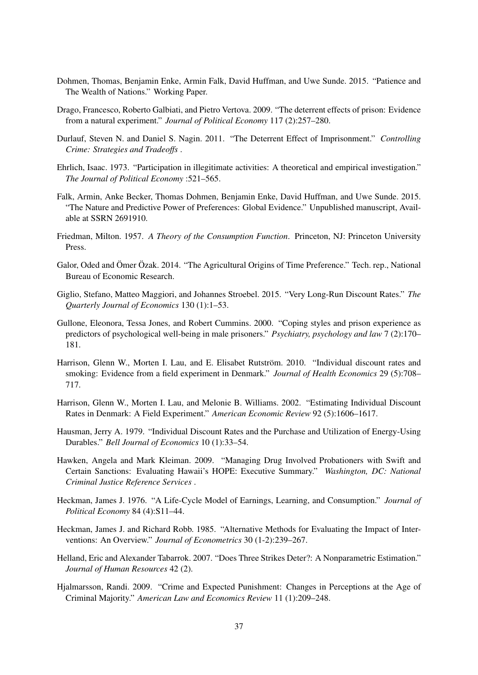- <span id="page-38-14"></span>Dohmen, Thomas, Benjamin Enke, Armin Falk, David Huffman, and Uwe Sunde. 2015. "Patience and The Wealth of Nations." Working Paper.
- <span id="page-38-3"></span>Drago, Francesco, Roberto Galbiati, and Pietro Vertova. 2009. "The deterrent effects of prison: Evidence from a natural experiment." *Journal of Political Economy* 117 (2):257–280.
- <span id="page-38-0"></span>Durlauf, Steven N. and Daniel S. Nagin. 2011. "The Deterrent Effect of Imprisonment." *Controlling Crime: Strategies and Tradeoffs* .
- <span id="page-38-2"></span>Ehrlich, Isaac. 1973. "Participation in illegitimate activities: A theoretical and empirical investigation." *The Journal of Political Economy* :521–565.
- <span id="page-38-15"></span>Falk, Armin, Anke Becker, Thomas Dohmen, Benjamin Enke, David Huffman, and Uwe Sunde. 2015. "The Nature and Predictive Power of Preferences: Global Evidence." Unpublished manuscript, Available at SSRN 2691910.
- <span id="page-38-4"></span>Friedman, Milton. 1957. *A Theory of the Consumption Function*. Princeton, NJ: Princeton University Press.
- <span id="page-38-13"></span>Galor, Oded and Ömer Özak. 2014. "The Agricultural Origins of Time Preference." Tech. rep., National Bureau of Economic Research.
- <span id="page-38-7"></span>Giglio, Stefano, Matteo Maggiori, and Johannes Stroebel. 2015. "Very Long-Run Discount Rates." *The Quarterly Journal of Economics* 130 (1):1–53.
- <span id="page-38-10"></span>Gullone, Eleonora, Tessa Jones, and Robert Cummins. 2000. "Coping styles and prison experience as predictors of psychological well-being in male prisoners." *Psychiatry, psychology and law* 7 (2):170– 181.
- <span id="page-38-9"></span>Harrison, Glenn W., Morten I. Lau, and E. Elisabet Rutström. 2010. "Individual discount rates and smoking: Evidence from a field experiment in Denmark." *Journal of Health Economics* 29 (5):708– 717.
- <span id="page-38-8"></span>Harrison, Glenn W., Morten I. Lau, and Melonie B. Williams. 2002. "Estimating Individual Discount Rates in Denmark: A Field Experiment." *American Economic Review* 92 (5):1606–1617.
- <span id="page-38-6"></span>Hausman, Jerry A. 1979. "Individual Discount Rates and the Purchase and Utilization of Energy-Using Durables." *Bell Journal of Economics* 10 (1):33–54.
- <span id="page-38-1"></span>Hawken, Angela and Mark Kleiman. 2009. "Managing Drug Involved Probationers with Swift and Certain Sanctions: Evaluating Hawaii's HOPE: Executive Summary." *Washington, DC: National Criminal Justice Reference Services* .
- <span id="page-38-5"></span>Heckman, James J. 1976. "A Life-Cycle Model of Earnings, Learning, and Consumption." *Journal of Political Economy* 84 (4):S11–44.
- <span id="page-38-11"></span>Heckman, James J. and Richard Robb. 1985. "Alternative Methods for Evaluating the Impact of Interventions: An Overview." *Journal of Econometrics* 30 (1-2):239–267.
- <span id="page-38-16"></span>Helland, Eric and Alexander Tabarrok. 2007. "Does Three Strikes Deter?: A Nonparametric Estimation." *Journal of Human Resources* 42 (2).
- <span id="page-38-12"></span>Hjalmarsson, Randi. 2009. "Crime and Expected Punishment: Changes in Perceptions at the Age of Criminal Majority." *American Law and Economics Review* 11 (1):209–248.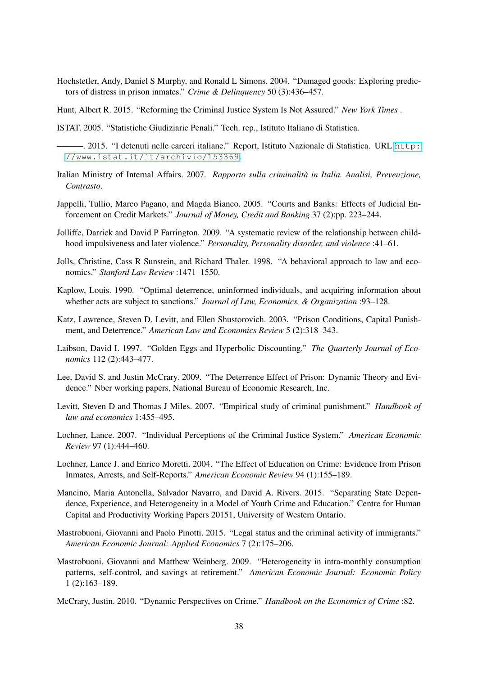- <span id="page-39-11"></span>Hochstetler, Andy, Daniel S Murphy, and Ronald L Simons. 2004. "Damaged goods: Exploring predictors of distress in prison inmates." *Crime & Delinquency* 50 (3):436–457.
- <span id="page-39-0"></span>Hunt, Albert R. 2015. "Reforming the Criminal Justice System Is Not Assured." *New York Times* .

<span id="page-39-12"></span><span id="page-39-10"></span>ISTAT. 2005. "Statistiche Giudiziarie Penali." Tech. rep., Istituto Italiano di Statistica.

———. 2015. "I detenuti nelle carceri italiane." Report, Istituto Nazionale di Statistica. URL [http:](http://www.istat.it/it/archivio/153369) [//www.istat.it/it/archivio/153369](http://www.istat.it/it/archivio/153369).

- <span id="page-39-13"></span>Italian Ministry of Internal Affairs. 2007. *Rapporto sulla criminalità in Italia. Analisi, Prevenzione, Contrasto*.
- <span id="page-39-15"></span>Jappelli, Tullio, Marco Pagano, and Magda Bianco. 2005. "Courts and Banks: Effects of Judicial Enforcement on Credit Markets." *Journal of Money, Credit and Banking* 37 (2):pp. 223–244.
- <span id="page-39-6"></span>Jolliffe, Darrick and David P Farrington. 2009. "A systematic review of the relationship between childhood impulsiveness and later violence." *Personality, Personality disorder, and violence* :41–61.
- <span id="page-39-16"></span>Jolls, Christine, Cass R Sunstein, and Richard Thaler. 1998. "A behavioral approach to law and economics." *Stanford Law Review* :1471–1550.
- <span id="page-39-4"></span>Kaplow, Louis. 1990. "Optimal deterrence, uninformed individuals, and acquiring information about whether acts are subject to sanctions." *Journal of Law, Economics, & Organization* :93–128.
- <span id="page-39-1"></span>Katz, Lawrence, Steven D. Levitt, and Ellen Shustorovich. 2003. "Prison Conditions, Capital Punishment, and Deterrence." *American Law and Economics Review* 5 (2):318–343.
- <span id="page-39-17"></span>Laibson, David I. 1997. "Golden Eggs and Hyperbolic Discounting." *The Quarterly Journal of Economics* 112 (2):443–477.
- <span id="page-39-8"></span>Lee, David S. and Justin McCrary. 2009. "The Deterrence Effect of Prison: Dynamic Theory and Evidence." Nber working papers, National Bureau of Economic Research, Inc.
- <span id="page-39-3"></span>Levitt, Steven D and Thomas J Miles. 2007. "Empirical study of criminal punishment." *Handbook of law and economics* 1:455–495.
- <span id="page-39-5"></span>Lochner, Lance. 2007. "Individual Perceptions of the Criminal Justice System." *American Economic Review* 97 (1):444–460.
- <span id="page-39-14"></span>Lochner, Lance J. and Enrico Moretti. 2004. "The Effect of Education on Crime: Evidence from Prison Inmates, Arrests, and Self-Reports." *American Economic Review* 94 (1):155–189.
- <span id="page-39-7"></span>Mancino, Maria Antonella, Salvador Navarro, and David A. Rivers. 2015. "Separating State Dependence, Experience, and Heterogeneity in a Model of Youth Crime and Education." Centre for Human Capital and Productivity Working Papers 20151, University of Western Ontario.
- <span id="page-39-9"></span>Mastrobuoni, Giovanni and Paolo Pinotti. 2015. "Legal status and the criminal activity of immigrants." *American Economic Journal: Applied Economics* 7 (2):175–206.
- <span id="page-39-18"></span>Mastrobuoni, Giovanni and Matthew Weinberg. 2009. "Heterogeneity in intra-monthly consumption patterns, self-control, and savings at retirement." *American Economic Journal: Economic Policy* 1 (2):163–189.
- <span id="page-39-2"></span>McCrary, Justin. 2010. "Dynamic Perspectives on Crime." *Handbook on the Economics of Crime* :82.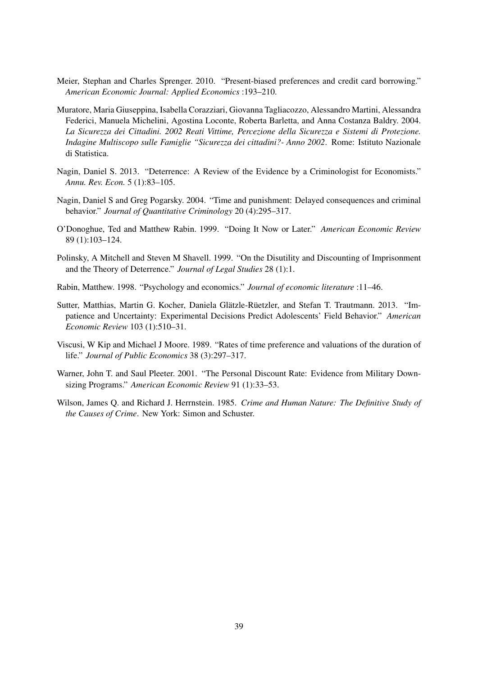- <span id="page-40-6"></span>Meier, Stephan and Charles Sprenger. 2010. "Present-biased preferences and credit card borrowing." *American Economic Journal: Applied Economics* :193–210.
- <span id="page-40-7"></span>Muratore, Maria Giuseppina, Isabella Corazziari, Giovanna Tagliacozzo, Alessandro Martini, Alessandra Federici, Manuela Michelini, Agostina Loconte, Roberta Barletta, and Anna Costanza Baldry. 2004. *La Sicurezza dei Cittadini. 2002 Reati Vittime, Percezione della Sicurezza e Sistemi di Protezione. Indagine Multiscopo sulle Famiglie "Sicurezza dei cittadini?- Anno 2002*. Rome: Istituto Nazionale di Statistica.
- <span id="page-40-2"></span>Nagin, Daniel S. 2013. "Deterrence: A Review of the Evidence by a Criminologist for Economists." *Annu. Rev. Econ.* 5 (1):83–105.
- <span id="page-40-3"></span>Nagin, Daniel S and Greg Pogarsky. 2004. "Time and punishment: Delayed consequences and criminal behavior." *Journal of Quantitative Criminology* 20 (4):295–317.
- <span id="page-40-8"></span>O'Donoghue, Ted and Matthew Rabin. 1999. "Doing It Now or Later." *American Economic Review* 89 (1):103–124.
- <span id="page-40-0"></span>Polinsky, A Mitchell and Steven M Shavell. 1999. "On the Disutility and Discounting of Imprisonment and the Theory of Deterrence." *Journal of Legal Studies* 28 (1):1.
- <span id="page-40-9"></span>Rabin, Matthew. 1998. "Psychology and economics." *Journal of economic literature* :11–46.
- <span id="page-40-10"></span>Sutter, Matthias, Martin G. Kocher, Daniela Glätzle-Rüetzler, and Stefan T. Trautmann. 2013. "Impatience and Uncertainty: Experimental Decisions Predict Adolescents' Field Behavior." *American Economic Review* 103 (1):510–31.
- <span id="page-40-5"></span>Viscusi, W Kip and Michael J Moore. 1989. "Rates of time preference and valuations of the duration of life." *Journal of Public Economics* 38 (3):297–317.
- <span id="page-40-4"></span>Warner, John T. and Saul Pleeter. 2001. "The Personal Discount Rate: Evidence from Military Downsizing Programs." *American Economic Review* 91 (1):33–53.
- <span id="page-40-1"></span>Wilson, James Q. and Richard J. Herrnstein. 1985. *Crime and Human Nature: The Definitive Study of the Causes of Crime*. New York: Simon and Schuster.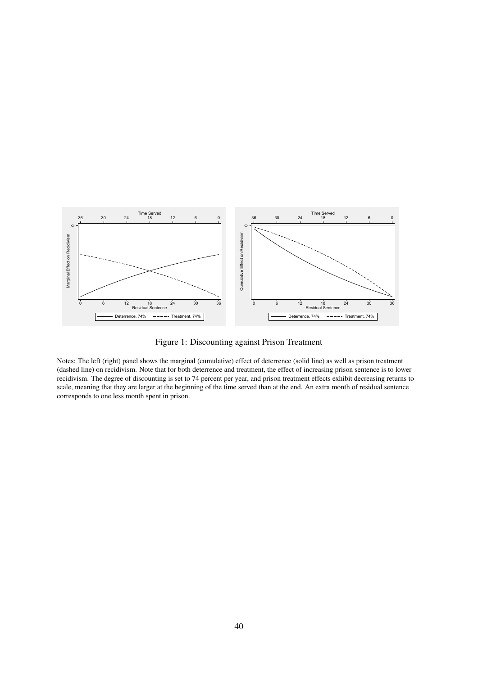<span id="page-41-0"></span>

Figure 1: Discounting against Prison Treatment

Notes: The left (right) panel shows the marginal (cumulative) effect of deterrence (solid line) as well as prison treatment (dashed line) on recidivism. Note that for both deterrence and treatment, the effect of increasing prison sentence is to lower recidivism. The degree of discounting is set to 74 percent per year, and prison treatment effects exhibit decreasing returns to scale, meaning that they are larger at the beginning of the time served than at the end. An extra month of residual sentence corresponds to one less month spent in prison.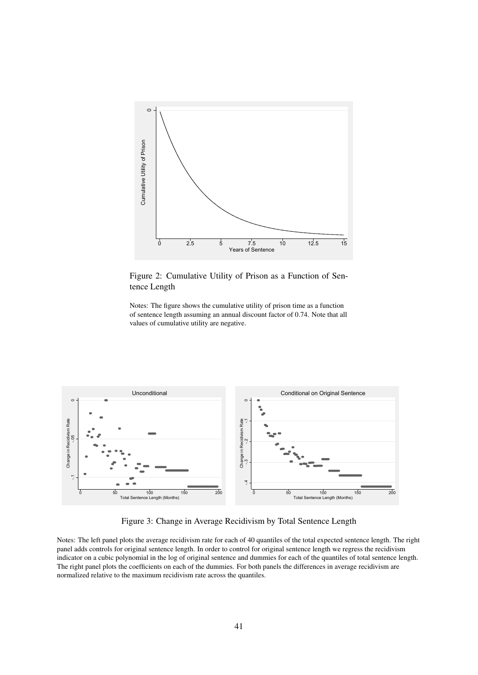<span id="page-42-0"></span>

Figure 2: Cumulative Utility of Prison as a Function of Sentence Length

Notes: The figure shows the cumulative utility of prison time as a function of sentence length assuming an annual discount factor of 0.74. Note that all values of cumulative utility are negative.

<span id="page-42-1"></span>

Figure 3: Change in Average Recidivism by Total Sentence Length

Notes: The left panel plots the average recidivism rate for each of 40 quantiles of the total expected sentence length. The right panel adds controls for original sentence length. In order to control for original sentence length we regress the recidivism indicator on a cubic polynomial in the log of original sentence and dummies for each of the quantiles of total sentence length. The right panel plots the coefficients on each of the dummies. For both panels the differences in average recidivism are normalized relative to the maximum recidivism rate across the quantiles.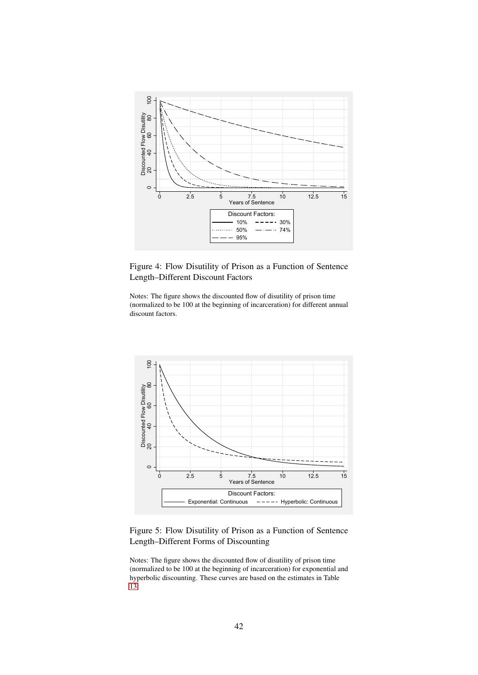<span id="page-43-0"></span>

Figure 4: Flow Disutility of Prison as a Function of Sentence Length–Different Discount Factors

Notes: The figure shows the discounted flow of disutility of prison time (normalized to be 100 at the beginning of incarceration) for different annual discount factors.

<span id="page-43-1"></span>

Figure 5: Flow Disutility of Prison as a Function of Sentence Length–Different Forms of Discounting

Notes: The figure shows the discounted flow of disutility of prison time (normalized to be 100 at the beginning of incarceration) for exponential and hyperbolic discounting. These curves are based on the estimates in Table [13.](#page-51-2)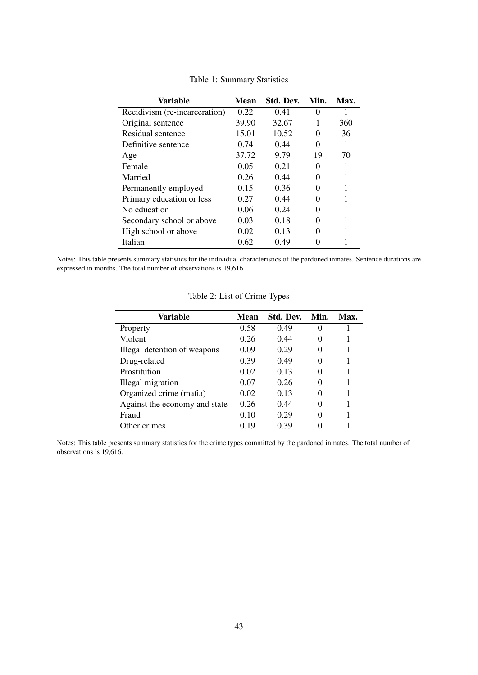<span id="page-44-0"></span>

| Variable                      | Mean  | Std. Dev. | Min.     | Max. |
|-------------------------------|-------|-----------|----------|------|
| Recidivism (re-incarceration) | 0.22  | 0.41      | $\Omega$ |      |
| Original sentence             | 39.90 | 32.67     |          | 360  |
| Residual sentence             | 15.01 | 10.52     | $\Omega$ | 36   |
| Definitive sentence           | 0.74  | 0.44      | 0        | 1    |
| Age                           | 37.72 | 9.79      | 19       | 70   |
| Female                        | 0.05  | 0.21      |          | 1    |
| Married                       | 0.26  | 0.44      | $\Omega$ | 1    |
| Permanently employed          | 0.15  | 0.36      | 0        |      |
| Primary education or less     | 0.27  | 0.44      |          |      |
| No education                  | 0.06  | 0.24      | $\Omega$ | 1    |
| Secondary school or above     | 0.03  | 0.18      | 0        |      |
| High school or above          | 0.02  | 0.13      |          |      |
| Italian                       | 0.62  | 0.49      |          |      |

Table 1: Summary Statistics

<span id="page-44-1"></span>Notes: This table presents summary statistics for the individual characteristics of the pardoned inmates. Sentence durations are expressed in months. The total number of observations is 19,616.

| Variable                      | Mean | Std. Dev. | Min.              | Max. |
|-------------------------------|------|-----------|-------------------|------|
| Property                      | 0.58 | 0.49      | 0                 |      |
| Violent                       | 0.26 | 0.44      | 0                 |      |
| Illegal detention of weapons  | 0.09 | 0.29      | 0                 |      |
| Drug-related                  | 0.39 | 0.49      |                   |      |
| Prostitution                  | 0.02 | 0.13      | 0                 |      |
| Illegal migration             | 0.07 | 0.26      | $\mathbf{\Omega}$ |      |
| Organized crime (mafia)       | 0.02 | 0.13      | 0                 |      |
| Against the economy and state | 0.26 | 0.44      |                   |      |
| Fraud                         | 0.10 | 0.29      | 0                 |      |
| Other crimes                  | በ 19 | 0.39      |                   |      |

# Table 2: List of Crime Types

Notes: This table presents summary statistics for the crime types committed by the pardoned inmates. The total number of observations is 19,616.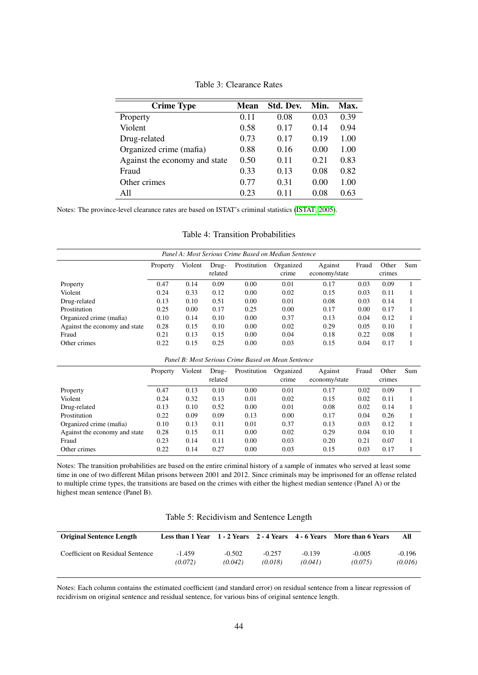<span id="page-45-0"></span>

| <b>Crime Type</b>             | Mean | Std. Dev. | Min. | Max. |
|-------------------------------|------|-----------|------|------|
| Property                      | 0.11 | 0.08      | 0.03 | 0.39 |
| Violent                       | 0.58 | 0.17      | 0.14 | 0.94 |
| Drug-related                  | 0.73 | 0.17      | 0.19 | 1.00 |
| Organized crime (mafia)       | 0.88 | 0.16      | 0.00 | 1.00 |
| Against the economy and state | 0.50 | 0.11      | 0.21 | 0.83 |
| Fraud                         | 0.33 | 0.13      | 0.08 | 0.82 |
| Other crimes                  | 0.77 | 0.31      | 0.00 | 1.00 |
| All                           | 0.23 | 0.11      | 0.08 | 0.63 |

Table 3: Clearance Rates

<span id="page-45-1"></span>Notes: The province-level clearance rates are based on ISTAT's criminal statistics [\(ISTAT, 2005\)](#page-39-10).

|                               |          |         |                  | Panel A: Most Serious Crime Based on Median Sentence |                    |                          |       |                 |     |
|-------------------------------|----------|---------|------------------|------------------------------------------------------|--------------------|--------------------------|-------|-----------------|-----|
|                               | Property | Violent | Drug-<br>related | Prostitution                                         | Organized<br>crime | Against<br>economy/state | Fraud | Other<br>crimes | Sum |
| Property                      | 0.47     | 0.14    | 0.09             | 0.00                                                 | 0.01               | 0.17                     | 0.03  | 0.09            |     |
| Violent                       | 0.24     | 0.33    | 0.12             | 0.00                                                 | 0.02               | 0.15                     | 0.03  | 0.11            |     |
| Drug-related                  | 0.13     | 0.10    | 0.51             | 0.00                                                 | 0.01               | 0.08                     | 0.03  | 0.14            |     |
| Prostitution                  | 0.25     | 0.00    | 0.17             | 0.25                                                 | 0.00               | 0.17                     | 0.00  | 0.17            |     |
| Organized crime (mafia)       | 0.10     | 0.14    | 0.10             | 0.00                                                 | 0.37               | 0.13                     | 0.04  | 0.12            |     |
| Against the economy and state | 0.28     | 0.15    | 0.10             | 0.00                                                 | 0.02               | 0.29                     | 0.05  | 0.10            |     |
| Fraud                         | 0.21     | 0.13    | 0.15             | 0.00                                                 | 0.04               | 0.18                     | 0.22  | 0.08            |     |
| Other crimes                  | 0.22     | 0.15    | 0.25             | 0.00                                                 | 0.03               | 0.15                     | 0.04  | 0.17            |     |
|                               |          |         |                  | Panel B: Most Serious Crime Based on Mean Sentence   |                    |                          |       |                 |     |

Table 4: Transition Probabilities

|                               |          |         |                  | Panel B: Most Serious Crime Based on Mean Sentence |                    |                          |       |                 |     |
|-------------------------------|----------|---------|------------------|----------------------------------------------------|--------------------|--------------------------|-------|-----------------|-----|
|                               | Property | Violent | Drug-<br>related | Prostitution                                       | Organized<br>crime | Against<br>economy/state | Fraud | Other<br>crimes | Sum |
| Property                      | 0.47     | 0.13    | 0.10             | 0.00                                               | 0.01               | 0.17                     | 0.02  | 0.09            |     |
| Violent                       | 0.24     | 0.32    | 0.13             | 0.01                                               | 0.02               | 0.15                     | 0.02  | 0.11            |     |
| Drug-related                  | 0.13     | 0.10    | 0.52             | 0.00                                               | 0.01               | 0.08                     | 0.02  | 0.14            |     |
| Prostitution                  | 0.22     | 0.09    | 0.09             | 0.13                                               | 0.00               | 0.17                     | 0.04  | 0.26            |     |
| Organized crime (mafia)       | 0.10     | 0.13    | 0.11             | 0.01                                               | 0.37               | 0.13                     | 0.03  | 0.12            |     |
| Against the economy and state | 0.28     | 0.15    | 0.11             | 0.00                                               | 0.02               | 0.29                     | 0.04  | 0.10            |     |
| Fraud                         | 0.23     | 0.14    | 0.11             | 0.00                                               | 0.03               | 0.20                     | 0.21  | 0.07            |     |
| Other crimes                  | 0.22     | 0.14    | 0.27             | 0.00                                               | 0.03               | 0.15                     | 0.03  | 0.17            |     |

Notes: The transition probabilities are based on the entire criminal history of a sample of inmates who served at least some time in one of two different Milan prisons between 2001 and 2012. Since criminals may be imprisoned for an offense related to multiple crime types, the transitions are based on the crimes with either the highest median sentence (Panel A) or the highest mean sentence (Panel B).

|  |  | Table 5: Recidivism and Sentence Length |  |
|--|--|-----------------------------------------|--|
|--|--|-----------------------------------------|--|

<span id="page-45-2"></span>

| <b>Original Sentence Length</b>  |          |          |          |          | Less than 1 Year 1 - 2 Years 2 - 4 Years 4 - 6 Years More than 6 Years | All      |
|----------------------------------|----------|----------|----------|----------|------------------------------------------------------------------------|----------|
| Coefficient on Residual Sentence | $-1.459$ | $-0.502$ | $-0.257$ | $-0.139$ | $-0.005$                                                               | $-0.196$ |
|                                  | (0.072)  | (0.042)  | (0.018)  | (0.041)  | (0.075)                                                                | (0.016)  |

Notes: Each column contains the estimated coefficient (and standard error) on residual sentence from a linear regression of recidivism on original sentence and residual sentence, for various bins of original sentence length.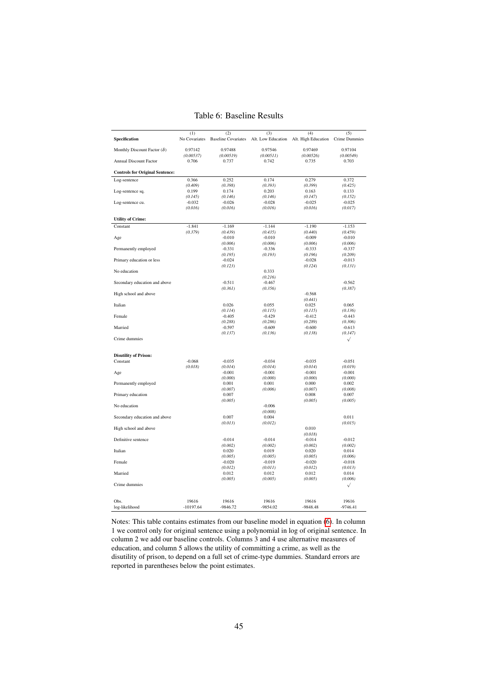<span id="page-46-0"></span>

| Specification                          | (1)<br>No Covariates | (2)<br><b>Baseline Covariates</b> | (3)<br>Alt. Low Education | (4)<br>Alt. High Education | (5)<br>Crime Dummies |
|----------------------------------------|----------------------|-----------------------------------|---------------------------|----------------------------|----------------------|
| Monthly Discount Factor $(\delta)$     | 0.97142<br>(0.00537) | 0.97488<br>(0.00519)              | 0.97546<br>(0.00511)      | 0.97469<br>(0.00526)       | 0.97104<br>(0.00549) |
| <b>Annual Discount Factor</b>          | 0.706                | 0.737                             | 0.742                     | 0.735                      | 0.703                |
| <b>Controls for Original Sentence:</b> |                      |                                   |                           |                            |                      |
| Log-sentence                           | 0.366                | 0.252                             | 0.174                     | 0.279                      | 0.372                |
|                                        | (0.409)              | (0.398)                           | (0.393)                   | (0.399)                    | (0.425)              |
| Log-sentence sq.                       | 0.199                | 0.174                             | 0.203                     | 0.163                      | 0.133                |
|                                        | (0.145)              | (0.146)                           | (0.146)                   | (0.147)                    | (0.152)              |
| Log-sentence cu.                       | $-0.032$             | $-0.026$                          | $-0.028$                  | $-0.025$                   | $-0.025$             |
|                                        | (0.016)              | (0.016)                           | (0.016)                   | (0.016)                    | (0.017)              |
| <b>Utility of Crime:</b>               |                      |                                   |                           |                            |                      |
| Constant                               | $-1.841$             | $-1.169$                          | $-1.144$                  | $-1.190$                   | $-1.153$             |
|                                        | (0.379)              | (0.439)                           | (0.435)                   | (0.440)                    | (0.459)              |
| Age                                    |                      | $-0.010$                          | $-0.010$                  | $-0.009$                   | $-0.010$             |
|                                        |                      | (0.006)                           | (0.006)                   | (0.006)                    | (0.006)              |
|                                        |                      |                                   |                           |                            |                      |
| Permanently employed                   |                      | $-0.331$                          | $-0.336$                  | $-0.333$                   | $-0.337$             |
|                                        |                      | (0.195)                           | (0.193)                   | (0.196)                    | (0.209)              |
| Primary education or less              |                      | $-0.024$                          |                           | $-0.028$                   | $-0.013$             |
|                                        |                      | (0.123)                           |                           | (0.124)                    | (0.131)              |
| No education                           |                      |                                   | 0.333                     |                            |                      |
|                                        |                      |                                   | (0.216)                   |                            |                      |
| Secondary education and above          |                      | $-0.511$                          | $-0.467$                  |                            | $-0.562$             |
|                                        |                      | (0.361)                           | (0.356)                   |                            | (0.387)              |
| High school and above                  |                      |                                   |                           | $-0.568$                   |                      |
|                                        |                      |                                   |                           | (0.441)                    |                      |
| Italian                                |                      | 0.026                             | 0.055                     | 0.025                      | 0.065                |
|                                        |                      | (0.114)                           | (0.115)                   | (0.115)                    | (0.136)              |
| Female                                 |                      | $-0.405$                          | $-0.429$                  | $-0.412$                   | $-0.443$             |
|                                        |                      | (0.288)                           | (0.286)                   | (0.289)                    | (0.306)              |
| Married                                |                      | $-0.597$                          | $-0.609$                  | $-0.600$                   | $-0.613$             |
|                                        |                      | (0.137)                           | (0.136)                   | (0.138)                    | (0.147)              |
| Crime dummies                          |                      |                                   |                           |                            | $\sqrt{}$            |
|                                        |                      |                                   |                           |                            |                      |
| <b>Disutility of Prison:</b>           |                      |                                   |                           |                            |                      |
| Constant                               | $-0.068$             | $-0.035$                          | $-0.034$                  | $-0.035$                   | $-0.051$             |
|                                        | (0.018)              | (0.014)                           | (0.014)                   | (0.014)                    | (0.019)              |
| Age                                    |                      | $-0.001$                          | $-0.001$                  | $-0.001$                   | $-0.001$             |
|                                        |                      | (0.000)                           | (0.000)                   | (0.000)                    | (0.000)              |
| Permanently employed                   |                      | 0.001                             | 0.001                     | 0.000                      | 0.002                |
|                                        |                      | (0.007)                           | (0.006)                   | (0.007)                    | (0.008)              |
| Primary education                      |                      | 0.007                             |                           | 0.008                      | 0.007                |
| No education                           |                      | (0.005)                           | $-0.006$                  | (0.005)                    | (0.005)              |
|                                        |                      |                                   | (0.008)                   |                            |                      |
| Secondary education and above          |                      | 0.007                             | 0.004                     |                            | 0.011                |
| High school and above                  |                      | (0.013)                           | (0.012)                   | 0.010                      | (0.015)              |
|                                        |                      |                                   |                           | (0.018)                    |                      |
| Definitive sentence                    |                      | $-0.014$                          | $-0.014$                  | $-0.014$                   | $-0.012$             |
|                                        |                      | (0.002)                           | (0.002)                   | (0.002)                    | (0.002)              |
| Italian                                |                      | 0.020                             | 0.019                     | 0.020                      | 0.014                |
|                                        |                      | (0.005)                           | (0.005)                   | (0.005)                    | (0.006)              |
| Female                                 |                      | $-0.020$                          | $-0.019$                  | $-0.020$                   | $-0.018$             |
|                                        |                      | (0.012)                           | (0.011)                   | (0.012)                    | (0.013)              |
| Married                                |                      | 0.012                             | 0.012                     | 0.012                      | 0.014                |
|                                        |                      | (0.005)                           | (0.005)                   | (0.005)                    | (0.006)              |
| Crime dummies                          |                      |                                   |                           |                            | $\sqrt{}$            |
|                                        |                      |                                   |                           |                            |                      |
| Obs.                                   | 19616                | 19616                             | 19616                     | 19616                      | 19616                |
| log-likelihood                         | $-10197.64$          | $-9846.72$                        | $-9854.02$                | $-9848.48$                 | $-9746.41$           |

#### Table 6: Baseline Results

Notes: This table contains estimates from our baseline model in equation [\(6\)](#page-15-2). In column 1 we control only for original sentence using a polynomial in log of original sentence. In column 2 we add our baseline controls. Columns 3 and 4 use alternative measures of education, and column 5 allows the utility of committing a crime, as well as the disutility of prison, to depend on a full set of crime-type dummies. Standard errors are reported in parentheses below the point estimates.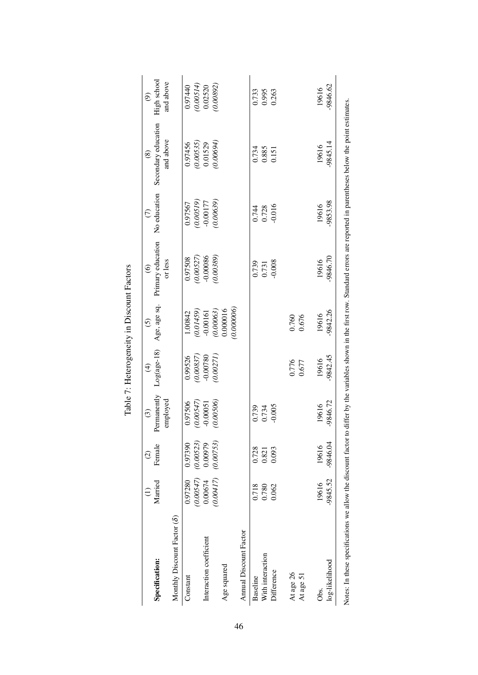<span id="page-47-0"></span>

|                             |                         | $\odot$                 | $\odot$                 | $\widehat{t}$ | $\widehat{c}$          | $\widehat{\mathbf{e}}$       | $\widehat{\in}$ | $\circledast$                    | $\widehat{\mathfrak{S}}$ |
|-----------------------------|-------------------------|-------------------------|-------------------------|---------------|------------------------|------------------------------|-----------------|----------------------------------|--------------------------|
| Specification:              | Married                 | Female                  | Permanently<br>employed | $Log(age-18)$ | Age, age sq.           | Primary education<br>or less | No education    | Secondary education<br>and above | High school<br>and above |
| Monthly Discount Factor (8) |                         |                         |                         |               |                        |                              |                 |                                  |                          |
| Constant                    | 0.97280                 | 0.97390                 | 0.97506                 | 0.99526       | 1.00842                | 0.97508                      | 0.97567         | 0.97456                          | 0.97440                  |
|                             | $(0.00547)$ $(0.00523)$ |                         | (0.00547)               | (0.00837)     | (0.01459)              | (0.00527)                    | (0.00519)       | (0.00535)                        | (0.00514)                |
| Interaction coefficient     | 0.00674                 | 0.00979                 | $-0.00051$              | $-0.00780$    | $-0.00161$             | $-0.00086$                   | $-0.00177$      | 0.01529                          | 0.02520                  |
|                             |                         | $(0.00417)$ $(0.00753)$ | (0.00506)               | 0.00271       | (0.00063)              | (0.00389)                    | (65900.00)      | (0.00694)                        | (0.00892)                |
| Age squared                 |                         |                         |                         |               | (0.000006)<br>0.000016 |                              |                 |                                  |                          |
| Annual Discount Factor      |                         |                         |                         |               |                        |                              |                 |                                  |                          |
| Baseline                    | 0.718                   | 0.728                   | 0.739                   |               |                        | 0.739                        | 0.744           | 0.734                            | 0.733                    |
| With interaction            | 0.780                   | 0.821                   | 0.734                   |               |                        | 0.731                        | 0.728           | 0.885                            | 0.995                    |
| Difference                  | 0.062                   | 0.093                   | $-0.005$                |               |                        | $-0.008$                     | $-0.016$        | 0.151                            | 0.263                    |
| At age 26                   |                         |                         |                         | 0.776         | 0.760                  |                              |                 |                                  |                          |
| At age 51                   |                         |                         |                         | 0.677         | 0.676                  |                              |                 |                                  |                          |
| Ōbs.                        | 19616                   | 19616                   | 19616                   | 19616         | 19616                  | 19616                        | 19616           | 19616                            | 19616                    |
| log-likelihood              | 9845.52                 | $-9846.04$              | $-9846.72$              | 9842.45       | 9842.26                | -9846.70                     | 9853.98         | -9845.14                         | -9846.62                 |

Table 7: Heterogeneity in Discount Factors Table 7: Heterogeneity in Discount Factors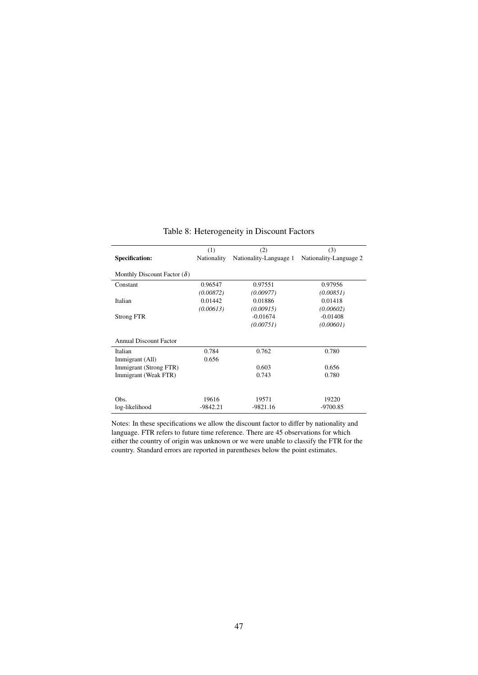<span id="page-48-0"></span>

|                                    | (1)         | (2)                    | (3)                    |
|------------------------------------|-------------|------------------------|------------------------|
| <b>Specification:</b>              | Nationality | Nationality-Language 1 | Nationality-Language 2 |
| Monthly Discount Factor $(\delta)$ |             |                        |                        |
| Constant                           | 0.96547     | 0.97551                | 0.97956                |
|                                    | (0.00872)   | (0.00977)              | (0.00851)              |
| Italian                            | 0.01442     | 0.01886                | 0.01418                |
|                                    | (0.00613)   | (0.00915)              | (0.00602)              |
| <b>Strong FTR</b>                  |             | $-0.01674$             | $-0.01408$             |
|                                    |             | (0.00751)              | (0.00601)              |
| <b>Annual Discount Factor</b>      |             |                        |                        |
| Italian                            | 0.784       | 0.762                  | 0.780                  |
| Immigrant (All)                    | 0.656       |                        |                        |
| Immigrant (Strong FTR)             |             | 0.603                  | 0.656                  |
| Immigrant (Weak FTR)               |             | 0.743                  | 0.780                  |
|                                    |             |                        |                        |
| Obs.                               | 19616       | 19571                  | 19220                  |
| log-likelihood                     | $-9842.21$  | $-9821.16$             | $-9700.85$             |

|  | Table 8: Heterogeneity in Discount Factors |  |  |  |
|--|--------------------------------------------|--|--|--|
|--|--------------------------------------------|--|--|--|

Notes: In these specifications we allow the discount factor to differ by nationality and language. FTR refers to future time reference. There are 45 observations for which either the country of origin was unknown or we were unable to classify the FTR for the country. Standard errors are reported in parentheses below the point estimates.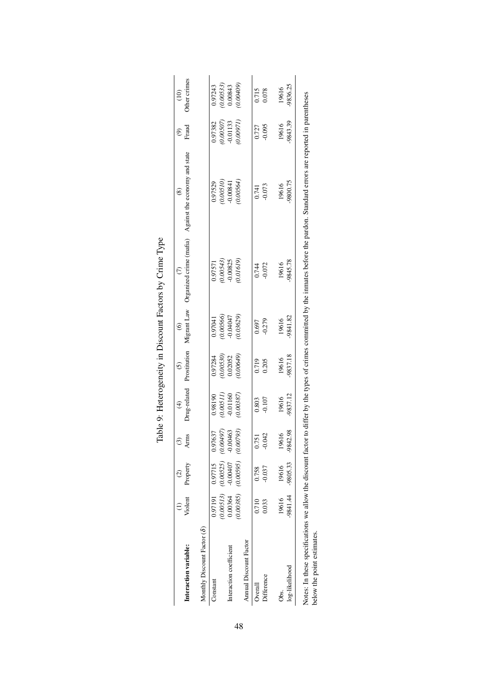<span id="page-49-0"></span>

|                                      |            |                                     | ⊙ි         | $\widehat{\mathcal{F}}$ | $\widehat{c}$ | $\widehat{\circ}$ | Ć          | ඹ                                                                              | ම          | $\frac{10}{10}$ |
|--------------------------------------|------------|-------------------------------------|------------|-------------------------|---------------|-------------------|------------|--------------------------------------------------------------------------------|------------|-----------------|
| Interaction variable:                | Violent    | Property                            | Arms       | Drug-related            |               |                   |            | Prostitution Migrant Law Organized crime (mafia) Against the economy and state | Fraud      | Other crimes    |
| Monthly Discount Factor ( $\delta$ ) |            |                                     |            |                         |               |                   |            |                                                                                |            |                 |
| Constant                             | 0.97191    | 0.97715                             | 0.97637    | 0.98190                 | 0.97284       | 0.97041           | 0.97571    | 0.97529                                                                        | 0.97382    | 0.97243         |
|                                      |            | $(0.00513)$ $(0.00525)$ $(0.00497)$ |            | (0.00511)               | (0.00530)     | 0.00566           | (0.00543)  | (0.00510)                                                                      | (0.00507)  | 0.00533         |
| Interaction coefficient              |            | 0.00364 0.00407                     | $-0.00463$ | $-0.01160$              | 0.02052       | $-0.04047$        | $-0.00825$ | $-0.00841$                                                                     | $-0.01133$ | 0.00843         |
|                                      |            | $(0.00385)$ $(0.00595)$ $(0.00793)$ |            | (0.00387)               | (0.00649)     | (0.03629)         | (0.01619)  | (0.00564)                                                                      | (126000)   | (0.00409)       |
| Annual Discount Factor               |            |                                     |            |                         |               |                   |            |                                                                                |            |                 |
| Overall                              | 0.710      | 0.758                               | 0.751      | 0.803                   | 0.719         | 0.697             | 0.744      | 0.741                                                                          | 0.727      | 0.715           |
| Difference                           | 0.033      | $-0.037$                            | $-0.042$   | $-0.107$                | 0.205         | $-0.279$          | $-0.072$   | $-0.073$                                                                       | $-0.095$   | 0.078           |
| ðs.                                  | 19616      | 19616                               | 19616      | 19616                   | 19616         | 19616             | 19616      | 19616                                                                          | 19616      | 19616           |
| log-likelihood                       | $-9841.44$ | -9805.33                            | $-9842.98$ | $-9837.12$              | -9837.18      | -9841.82          | $-9845.78$ | 9800.75                                                                        | -9843.39   | 9836.25         |

| I<br>I<br>i the la<br>l             |
|-------------------------------------|
|                                     |
|                                     |
| <b>SALES CONTROL</b><br>5<br>ļ      |
|                                     |
| $+7.40$ condition in<br>۱<br>ו<br>ו |
|                                     |
| l                                   |

48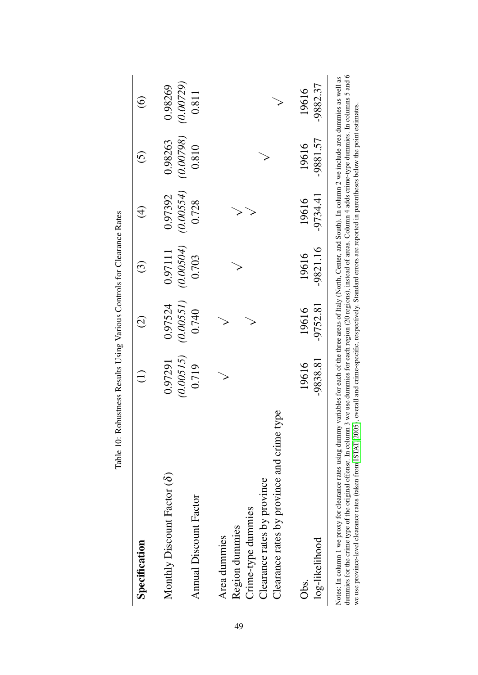<span id="page-50-0"></span>

| Specification                                     |                    | $\widehat{\circ}$  | ڛ                  | $\widehat{\mathfrak{t}}$ | $\tilde{O}$        | $\widehat{\circ}$  |
|---------------------------------------------------|--------------------|--------------------|--------------------|--------------------------|--------------------|--------------------|
| Monthly Discount Factor $(\delta)$                | 0.97291            | 0.97524            | 0.97111            | 0.97392                  | 0.98263            | 0.98269            |
| Annual Discount Factor                            | (0.00515)<br>0.719 | (0.00551)<br>0.740 | (0.00504)<br>0.703 | (0.00554)<br>0.728       | (0.00798)<br>0.810 | (0.00729)<br>0.811 |
| Region dummies<br>Area dummies                    |                    |                    |                    |                          |                    |                    |
| Clearance rates by province<br>Crime-type dummies |                    |                    |                    |                          |                    |                    |
| Clearance rates by province and crime type        |                    |                    |                    |                          |                    |                    |
| Obs.                                              | 19616              | 19616              | 19616              | 19616                    | 19616              | 19616              |
| log-likelihood                                    | -9838.81           | $-9752.81$         | $-9821.16$         | $-9734.41$               | -9881.57           | -9882.37           |

Table 10: Robustness Results Using Various Controls for Clearance Rates Table 10: Robustness Results Using Various Controls for Clearance Rates Notes: In column 1 we proxy for clearance rates using dummy variables for each of the three areas of Italy (North, Center, and South). In column 2 we include area dummies as well as<br>dummies for the crime type of the origin dummies for the crime type of the original offense. In column 3 we use dummies for each region (20 regions), instead of areas. Column 4 adds crime-type dummies. In columns 5 and 6 Notes: In column 1 we proxy for clearance rates using dummy variables for each of the three areas of Italy (North, Center, and South). In column 2 we include area dummies as well as we use province-level clearance rates (taken from [ISTAT,](#page-39-10) [2005\)](#page-39-10), overall and crime-specific, respectively. Standard errors are reported in parentheses below the point estimates.